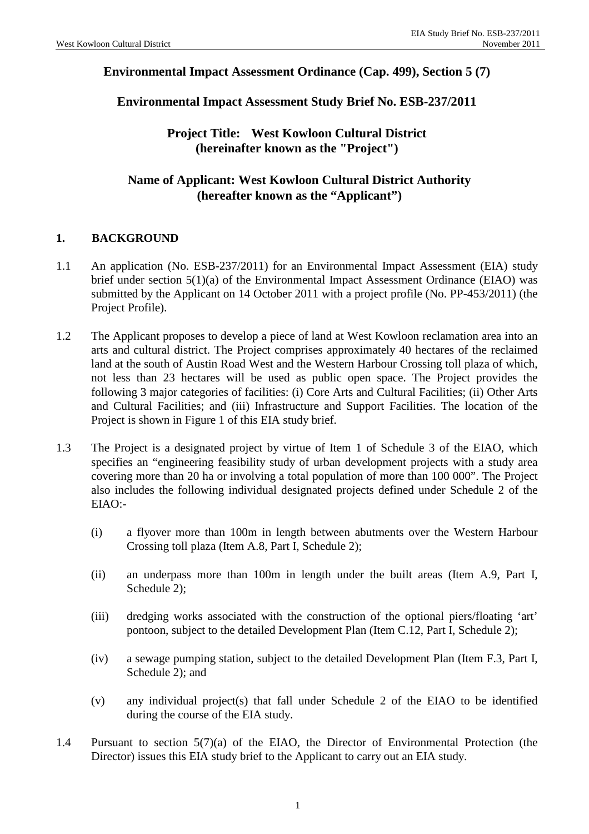## **Environmental Impact Assessment Ordinance (Cap. 499), Section 5 (7)**

**Environmental Impact Assessment Study Brief No. ESB-237/2011**

**Project Title: West Kowloon Cultural District (hereinafter known as the "Project")**

## **Name of Applicant: West Kowloon Cultural District Authority (hereafter known as the "Applicant")**

## **1. BACKGROUND**

- 1.1 An application (No. ESB-237/2011) for an Environmental Impact Assessment (EIA) study brief under section 5(1)(a) of the Environmental Impact Assessment Ordinance (EIAO) was submitted by the Applicant on 14 October 2011 with a project profile (No. PP-453/2011) (the Project Profile).
- 1.2 The Applicant proposes to develop a piece of land at West Kowloon reclamation area into an arts and cultural district. The Project comprises approximately 40 hectares of the reclaimed land at the south of Austin Road West and the Western Harbour Crossing toll plaza of which, not less than 23 hectares will be used as public open space. The Project provides the following 3 major categories of facilities: (i) Core Arts and Cultural Facilities; (ii) Other Arts and Cultural Facilities; and (iii) Infrastructure and Support Facilities. The location of the Project is shown in Figure 1 of this EIA study brief.
- 1.3 The Project is a designated project by virtue of Item 1 of Schedule 3 of the EIAO, which specifies an "engineering feasibility study of urban development projects with a study area covering more than 20 ha or involving a total population of more than 100 000". The Project also includes the following individual designated projects defined under Schedule 2 of the EIAO:-
	- (i) a flyover more than 100m in length between abutments over the Western Harbour Crossing toll plaza (Item A.8, Part I, Schedule 2);
	- (ii) an underpass more than 100m in length under the built areas (Item A.9, Part I, Schedule 2);
	- (iii) dredging works associated with the construction of the optional piers/floating 'art' pontoon, subject to the detailed Development Plan (Item C.12, Part I, Schedule 2);
	- (iv) a sewage pumping station, subject to the detailed Development Plan (Item F.3, Part I, Schedule 2): and
	- (v) any individual project(s) that fall under Schedule 2 of the EIAO to be identified during the course of the EIA study.
- 1.4 Pursuant to section 5(7)(a) of the EIAO, the Director of Environmental Protection (the Director) issues this EIA study brief to the Applicant to carry out an EIA study.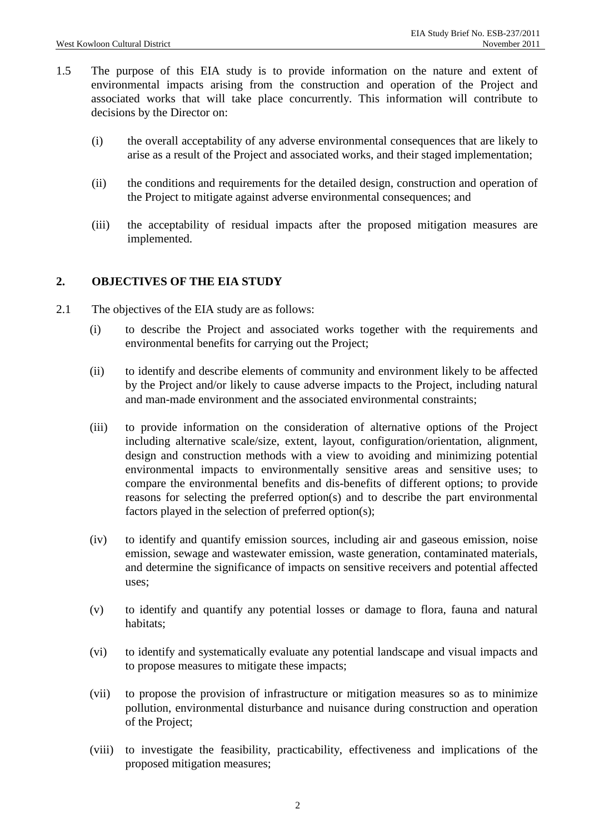- 1.5 The purpose of this EIA study is to provide information on the nature and extent of environmental impacts arising from the construction and operation of the Project and associated works that will take place concurrently. This information will contribute to decisions by the Director on:
	- (i) the overall acceptability of any adverse environmental consequences that are likely to arise as a result of the Project and associated works, and their staged implementation;
	- (ii) the conditions and requirements for the detailed design, construction and operation of the Project to mitigate against adverse environmental consequences; and
	- (iii) the acceptability of residual impacts after the proposed mitigation measures are implemented.

## **2. OBJECTIVES OF THE EIA STUDY**

- 2.1 The objectives of the EIA study are as follows:
	- (i) to describe the Project and associated works together with the requirements and environmental benefits for carrying out the Project;
	- (ii) to identify and describe elements of community and environment likely to be affected by the Project and/or likely to cause adverse impacts to the Project, including natural and man-made environment and the associated environmental constraints;
	- (iii) to provide information on the consideration of alternative options of the Project including alternative scale/size, extent, layout, configuration/orientation, alignment, design and construction methods with a view to avoiding and minimizing potential environmental impacts to environmentally sensitive areas and sensitive uses; to compare the environmental benefits and dis-benefits of different options; to provide reasons for selecting the preferred option(s) and to describe the part environmental factors played in the selection of preferred option(s);
	- (iv) to identify and quantify emission sources, including air and gaseous emission, noise emission, sewage and wastewater emission, waste generation, contaminated materials, and determine the significance of impacts on sensitive receivers and potential affected uses;
	- (v) to identify and quantify any potential losses or damage to flora, fauna and natural habitats;
	- (vi) to identify and systematically evaluate any potential landscape and visual impacts and to propose measures to mitigate these impacts;
	- (vii) to propose the provision of infrastructure or mitigation measures so as to minimize pollution, environmental disturbance and nuisance during construction and operation of the Project;
	- (viii) to investigate the feasibility, practicability, effectiveness and implications of the proposed mitigation measures;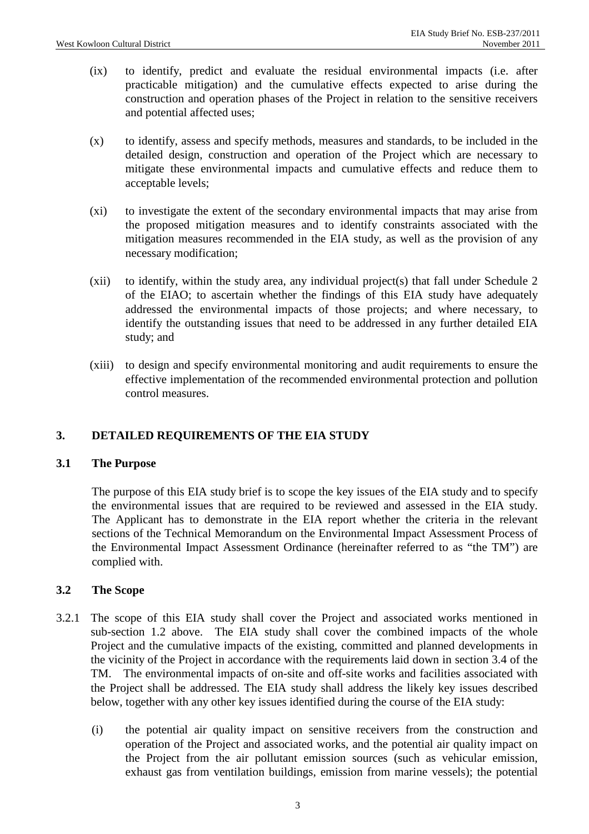- (ix) to identify, predict and evaluate the residual environmental impacts (i.e. after practicable mitigation) and the cumulative effects expected to arise during the construction and operation phases of the Project in relation to the sensitive receivers and potential affected uses;
- (x) to identify, assess and specify methods, measures and standards, to be included in the detailed design, construction and operation of the Project which are necessary to mitigate these environmental impacts and cumulative effects and reduce them to acceptable levels;
- (xi) to investigate the extent of the secondary environmental impacts that may arise from the proposed mitigation measures and to identify constraints associated with the mitigation measures recommended in the EIA study, as well as the provision of any necessary modification;
- (xii) to identify, within the study area, any individual project(s) that fall under Schedule 2 of the EIAO; to ascertain whether the findings of this EIA study have adequately addressed the environmental impacts of those projects; and where necessary, to identify the outstanding issues that need to be addressed in any further detailed EIA study; and
- (xiii) to design and specify environmental monitoring and audit requirements to ensure the effective implementation of the recommended environmental protection and pollution control measures.

## **3. DETAILED REQUIREMENTS OF THE EIA STUDY**

#### **3.1 The Purpose**

 The purpose of this EIA study brief is to scope the key issues of the EIA study and to specify the environmental issues that are required to be reviewed and assessed in the EIA study. The Applicant has to demonstrate in the EIA report whether the criteria in the relevant sections of the Technical Memorandum on the Environmental Impact Assessment Process of the Environmental Impact Assessment Ordinance (hereinafter referred to as "the TM") are complied with.

## **3.2 The Scope**

- 3.2.1 The scope of this EIA study shall cover the Project and associated works mentioned in sub-section 1.2 above. The EIA study shall cover the combined impacts of the whole Project and the cumulative impacts of the existing, committed and planned developments in the vicinity of the Project in accordance with the requirements laid down in section 3.4 of the TM. The environmental impacts of on-site and off-site works and facilities associated with the Project shall be addressed. The EIA study shall address the likely key issues described below, together with any other key issues identified during the course of the EIA study:
	- (i) the potential air quality impact on sensitive receivers from the construction and operation of the Project and associated works, and the potential air quality impact on the Project from the air pollutant emission sources (such as vehicular emission, exhaust gas from ventilation buildings, emission from marine vessels); the potential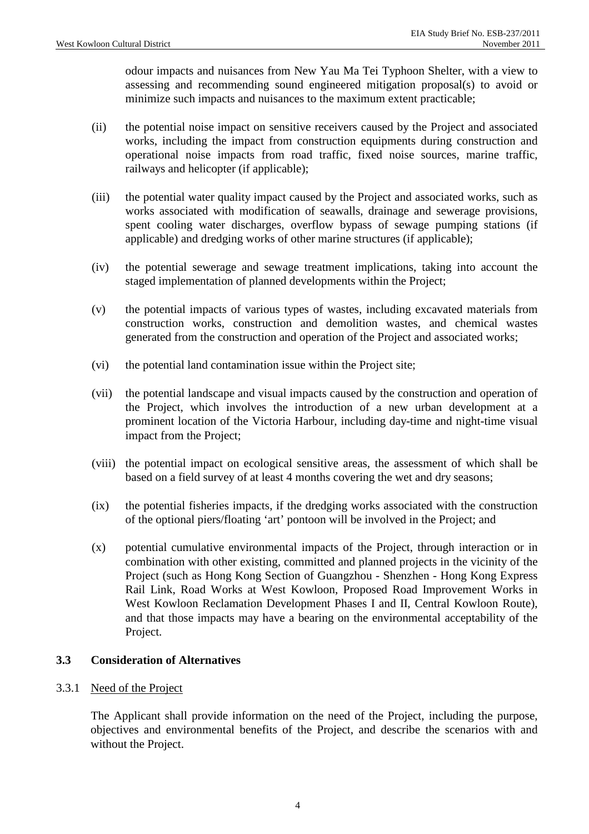odour impacts and nuisances from New Yau Ma Tei Typhoon Shelter, with a view to assessing and recommending sound engineered mitigation proposal(s) to avoid or minimize such impacts and nuisances to the maximum extent practicable;

- (ii) the potential noise impact on sensitive receivers caused by the Project and associated works, including the impact from construction equipments during construction and operational noise impacts from road traffic, fixed noise sources, marine traffic, railways and helicopter (if applicable);
- (iii) the potential water quality impact caused by the Project and associated works, such as works associated with modification of seawalls, drainage and sewerage provisions, spent cooling water discharges, overflow bypass of sewage pumping stations (if applicable) and dredging works of other marine structures (if applicable);
- (iv) the potential sewerage and sewage treatment implications, taking into account the staged implementation of planned developments within the Project;
- (v) the potential impacts of various types of wastes, including excavated materials from construction works, construction and demolition wastes, and chemical wastes generated from the construction and operation of the Project and associated works;
- (vi) the potential land contamination issue within the Project site;
- (vii) the potential landscape and visual impacts caused by the construction and operation of the Project, which involves the introduction of a new urban development at a prominent location of the Victoria Harbour, including day-time and night-time visual impact from the Project;
- (viii) the potential impact on ecological sensitive areas, the assessment of which shall be based on a field survey of at least 4 months covering the wet and dry seasons;
- (ix) the potential fisheries impacts, if the dredging works associated with the construction of the optional piers/floating 'art' pontoon will be involved in the Project; and
- (x) potential cumulative environmental impacts of the Project, through interaction or in combination with other existing, committed and planned projects in the vicinity of the Project (such as Hong Kong Section of Guangzhou - Shenzhen - Hong Kong Express Rail Link, Road Works at West Kowloon, Proposed Road Improvement Works in West Kowloon Reclamation Development Phases I and II, Central Kowloon Route), and that those impacts may have a bearing on the environmental acceptability of the Project.

## **3.3 Consideration of Alternatives**

#### 3.3.1 Need of the Project

The Applicant shall provide information on the need of the Project, including the purpose, objectives and environmental benefits of the Project, and describe the scenarios with and without the Project.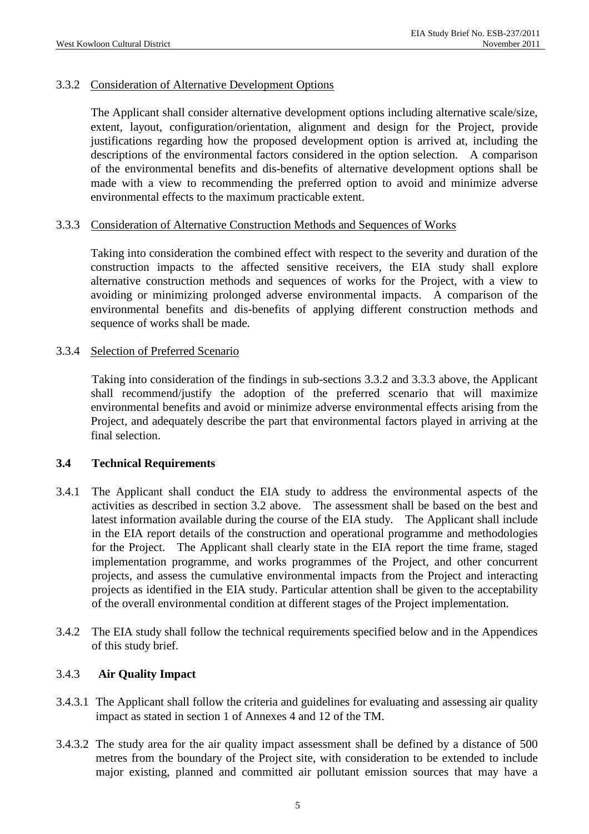### 3.3.2 Consideration of Alternative Development Options

The Applicant shall consider alternative development options including alternative scale/size, extent, layout, configuration/orientation, alignment and design for the Project, provide justifications regarding how the proposed development option is arrived at, including the descriptions of the environmental factors considered in the option selection. A comparison of the environmental benefits and dis-benefits of alternative development options shall be made with a view to recommending the preferred option to avoid and minimize adverse environmental effects to the maximum practicable extent.

#### 3.3.3 Consideration of Alternative Construction Methods and Sequences of Works

 Taking into consideration the combined effect with respect to the severity and duration of the construction impacts to the affected sensitive receivers, the EIA study shall explore alternative construction methods and sequences of works for the Project, with a view to avoiding or minimizing prolonged adverse environmental impacts. A comparison of the environmental benefits and dis-benefits of applying different construction methods and sequence of works shall be made.

#### 3.3.4 Selection of Preferred Scenario

 Taking into consideration of the findings in sub-sections 3.3.2 and 3.3.3 above, the Applicant shall recommend/justify the adoption of the preferred scenario that will maximize environmental benefits and avoid or minimize adverse environmental effects arising from the Project, and adequately describe the part that environmental factors played in arriving at the final selection.

#### **3.4 Technical Requirements**

- 3.4.1 The Applicant shall conduct the EIA study to address the environmental aspects of the activities as described in section 3.2 above. The assessment shall be based on the best and latest information available during the course of the EIA study. The Applicant shall include in the EIA report details of the construction and operational programme and methodologies for the Project. The Applicant shall clearly state in the EIA report the time frame, staged implementation programme, and works programmes of the Project, and other concurrent projects, and assess the cumulative environmental impacts from the Project and interacting projects as identified in the EIA study. Particular attention shall be given to the acceptability of the overall environmental condition at different stages of the Project implementation.
- 3.4.2 The EIA study shall follow the technical requirements specified below and in the Appendices of this study brief.

## 3.4.3 **Air Quality Impact**

- 3.4.3.1 The Applicant shall follow the criteria and guidelines for evaluating and assessing air quality impact as stated in section 1 of Annexes 4 and 12 of the TM.
- 3.4.3.2 The study area for the air quality impact assessment shall be defined by a distance of 500 metres from the boundary of the Project site, with consideration to be extended to include major existing, planned and committed air pollutant emission sources that may have a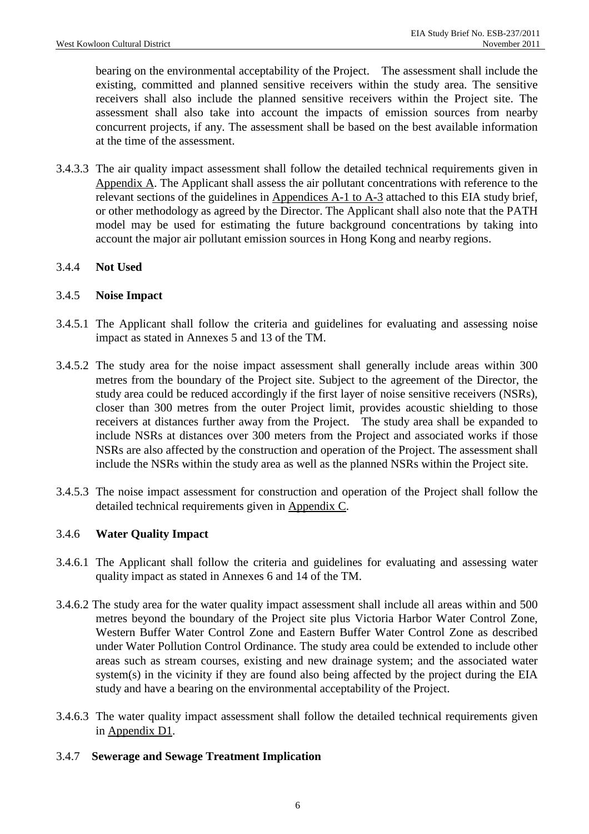bearing on the environmental acceptability of the Project. The assessment shall include the existing, committed and planned sensitive receivers within the study area. The sensitive receivers shall also include the planned sensitive receivers within the Project site. The assessment shall also take into account the impacts of emission sources from nearby concurrent projects, if any. The assessment shall be based on the best available information at the time of the assessment.

3.4.3.3 The air quality impact assessment shall follow the detailed technical requirements given in Appendix A. The Applicant shall assess the air pollutant concentrations with reference to the relevant sections of the guidelines in Appendices A-1 to A-3 attached to this EIA study brief, or other methodology as agreed by the Director. The Applicant shall also note that the PATH model may be used for estimating the future background concentrations by taking into account the major air pollutant emission sources in Hong Kong and nearby regions.

## 3.4.4 **Not Used**

## 3.4.5 **Noise Impact**

- 3.4.5.1 The Applicant shall follow the criteria and guidelines for evaluating and assessing noise impact as stated in Annexes 5 and 13 of the TM.
- 3.4.5.2 The study area for the noise impact assessment shall generally include areas within 300 metres from the boundary of the Project site. Subject to the agreement of the Director, the study area could be reduced accordingly if the first layer of noise sensitive receivers (NSRs), closer than 300 metres from the outer Project limit, provides acoustic shielding to those receivers at distances further away from the Project. The study area shall be expanded to include NSRs at distances over 300 meters from the Project and associated works if those NSRs are also affected by the construction and operation of the Project. The assessment shall include the NSRs within the study area as well as the planned NSRs within the Project site.
- 3.4.5.3 The noise impact assessment for construction and operation of the Project shall follow the detailed technical requirements given in Appendix C.

## 3.4.6 **Water Quality Impact**

- 3.4.6.1 The Applicant shall follow the criteria and guidelines for evaluating and assessing water quality impact as stated in Annexes 6 and 14 of the TM.
- 3.4.6.2 The study area for the water quality impact assessment shall include all areas within and 500 metres beyond the boundary of the Project site plus Victoria Harbor Water Control Zone, Western Buffer Water Control Zone and Eastern Buffer Water Control Zone as described under Water Pollution Control Ordinance. The study area could be extended to include other areas such as stream courses, existing and new drainage system; and the associated water system(s) in the vicinity if they are found also being affected by the project during the EIA study and have a bearing on the environmental acceptability of the Project.
- 3.4.6.3 The water quality impact assessment shall follow the detailed technical requirements given in Appendix D1.

#### 3.4.7 **Sewerage and Sewage Treatment Implication**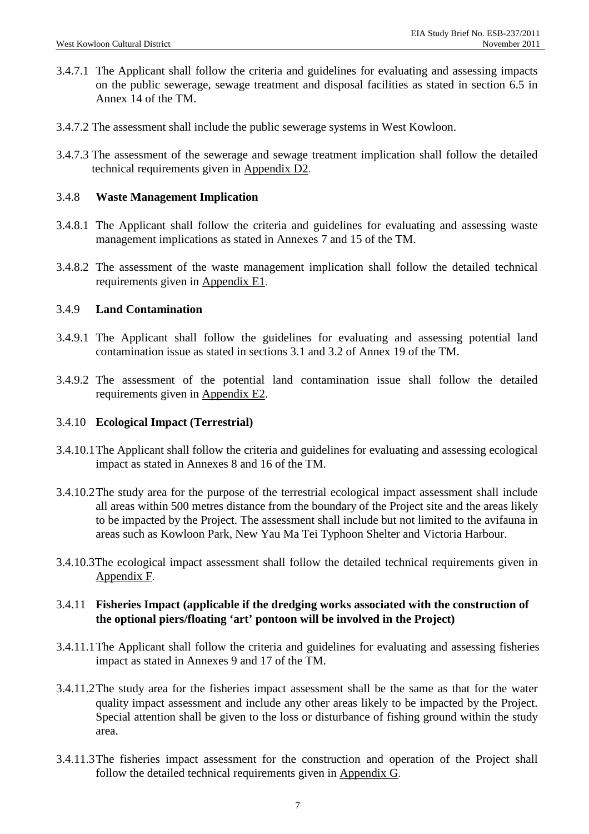- 3.4.7.1 The Applicant shall follow the criteria and guidelines for evaluating and assessing impacts on the public sewerage, sewage treatment and disposal facilities as stated in section 6.5 in Annex 14 of the TM.
- 3.4.7.2 The assessment shall include the public sewerage systems in West Kowloon.
- 3.4.7.3 The assessment of the sewerage and sewage treatment implication shall follow the detailed technical requirements given in Appendix D2.

#### 3.4.8 **Waste Management Implication**

- 3.4.8.1 The Applicant shall follow the criteria and guidelines for evaluating and assessing waste management implications as stated in Annexes 7 and 15 of the TM.
- 3.4.8.2 The assessment of the waste management implication shall follow the detailed technical requirements given in Appendix E1.

#### 3.4.9 **Land Contamination**

- 3.4.9.1 The Applicant shall follow the guidelines for evaluating and assessing potential land contamination issue as stated in sections 3.1 and 3.2 of Annex 19 of the TM.
- 3.4.9.2 The assessment of the potential land contamination issue shall follow the detailed requirements given in Appendix E2.

#### 3.4.10 **Ecological Impact (Terrestrial)**

- 3.4.10.1 The Applicant shall follow the criteria and guidelines for evaluating and assessing ecological impact as stated in Annexes 8 and 16 of the TM.
- 3.4.10.2 The study area for the purpose of the terrestrial ecological impact assessment shall include all areas within 500 metres distance from the boundary of the Project site and the areas likely to be impacted by the Project. The assessment shall include but not limited to the avifauna in areas such as Kowloon Park, New Yau Ma Tei Typhoon Shelter and Victoria Harbour.
- 3.4.10.3The ecological impact assessment shall follow the detailed technical requirements given in Appendix F.

## 3.4.11 **Fisheries Impact (applicable if the dredging works associated with the construction of the optional piers/floating 'art' pontoon will be involved in the Project)**

- 3.4.11.1 The Applicant shall follow the criteria and guidelines for evaluating and assessing fisheries impact as stated in Annexes 9 and 17 of the TM.
- 3.4.11.2 The study area for the fisheries impact assessment shall be the same as that for the water quality impact assessment and include any other areas likely to be impacted by the Project. Special attention shall be given to the loss or disturbance of fishing ground within the study area.
- 3.4.11.3 The fisheries impact assessment for the construction and operation of the Project shall follow the detailed technical requirements given in Appendix G.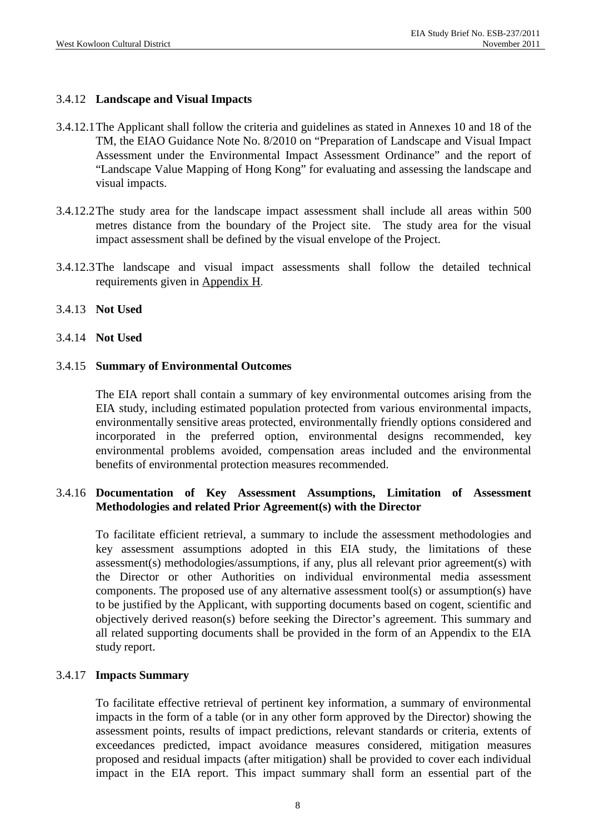### 3.4.12 **Landscape and Visual Impacts**

- 3.4.12.1 The Applicant shall follow the criteria and guidelines as stated in Annexes 10 and 18 of the TM, the EIAO Guidance Note No. 8/2010 on "Preparation of Landscape and Visual Impact Assessment under the Environmental Impact Assessment Ordinance" and the report of "Landscape Value Mapping of Hong Kong" for evaluating and assessing the landscape and visual impacts.
- 3.4.12.2 The study area for the landscape impact assessment shall include all areas within 500 metres distance from the boundary of the Project site. The study area for the visual impact assessment shall be defined by the visual envelope of the Project.
- 3.4.12.3 The landscape and visual impact assessments shall follow the detailed technical requirements given in Appendix H.

#### 3.4.13 **Not Used**

3.4.14 **Not Used** 

#### 3.4.15 **Summary of Environmental Outcomes**

 The EIA report shall contain a summary of key environmental outcomes arising from the EIA study, including estimated population protected from various environmental impacts, environmentally sensitive areas protected, environmentally friendly options considered and incorporated in the preferred option, environmental designs recommended, key environmental problems avoided, compensation areas included and the environmental benefits of environmental protection measures recommended.

## 3.4.16 **Documentation of Key Assessment Assumptions, Limitation of Assessment Methodologies and related Prior Agreement(s) with the Director**

To facilitate efficient retrieval, a summary to include the assessment methodologies and key assessment assumptions adopted in this EIA study, the limitations of these assessment(s) methodologies/assumptions, if any, plus all relevant prior agreement(s) with the Director or other Authorities on individual environmental media assessment components. The proposed use of any alternative assessment tool(s) or assumption(s) have to be justified by the Applicant, with supporting documents based on cogent, scientific and objectively derived reason(s) before seeking the Director's agreement. This summary and all related supporting documents shall be provided in the form of an Appendix to the EIA study report.

#### 3.4.17 **Impacts Summary**

To facilitate effective retrieval of pertinent key information, a summary of environmental impacts in the form of a table (or in any other form approved by the Director) showing the assessment points, results of impact predictions, relevant standards or criteria, extents of exceedances predicted, impact avoidance measures considered, mitigation measures proposed and residual impacts (after mitigation) shall be provided to cover each individual impact in the EIA report. This impact summary shall form an essential part of the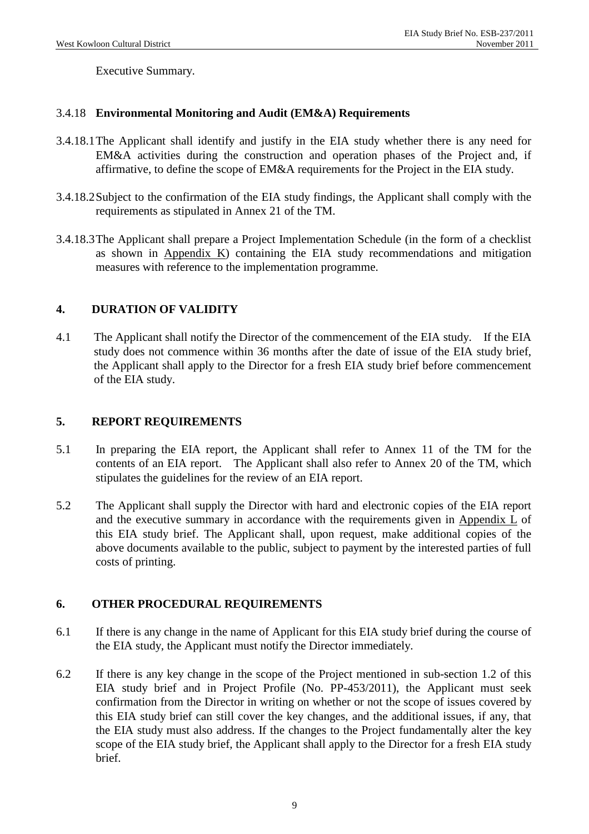Executive Summary.

### 3.4.18 **Environmental Monitoring and Audit (EM&A) Requirements**

- 3.4.18.1 The Applicant shall identify and justify in the EIA study whether there is any need for EM&A activities during the construction and operation phases of the Project and, if affirmative, to define the scope of EM&A requirements for the Project in the EIA study.
- 3.4.18.2 Subject to the confirmation of the EIA study findings, the Applicant shall comply with the requirements as stipulated in Annex 21 of the TM.
- 3.4.18.3 The Applicant shall prepare a Project Implementation Schedule (in the form of a checklist as shown in Appendix  $K$ ) containing the EIA study recommendations and mitigation measures with reference to the implementation programme.

## **4. DURATION OF VALIDITY**

4.1 The Applicant shall notify the Director of the commencement of the EIA study. If the EIA study does not commence within 36 months after the date of issue of the EIA study brief, the Applicant shall apply to the Director for a fresh EIA study brief before commencement of the EIA study.

## **5. REPORT REQUIREMENTS**

- 5.1 In preparing the EIA report, the Applicant shall refer to Annex 11 of the TM for the contents of an EIA report. The Applicant shall also refer to Annex 20 of the TM, which stipulates the guidelines for the review of an EIA report.
- 5.2 The Applicant shall supply the Director with hard and electronic copies of the EIA report and the executive summary in accordance with the requirements given in Appendix L of this EIA study brief. The Applicant shall, upon request, make additional copies of the above documents available to the public, subject to payment by the interested parties of full costs of printing.

## **6. OTHER PROCEDURAL REQUIREMENTS**

- 6.1 If there is any change in the name of Applicant for this EIA study brief during the course of the EIA study, the Applicant must notify the Director immediately.
- 6.2 If there is any key change in the scope of the Project mentioned in sub-section 1.2 of this EIA study brief and in Project Profile (No. PP-453/2011), the Applicant must seek confirmation from the Director in writing on whether or not the scope of issues covered by this EIA study brief can still cover the key changes, and the additional issues, if any, that the EIA study must also address. If the changes to the Project fundamentally alter the key scope of the EIA study brief, the Applicant shall apply to the Director for a fresh EIA study brief.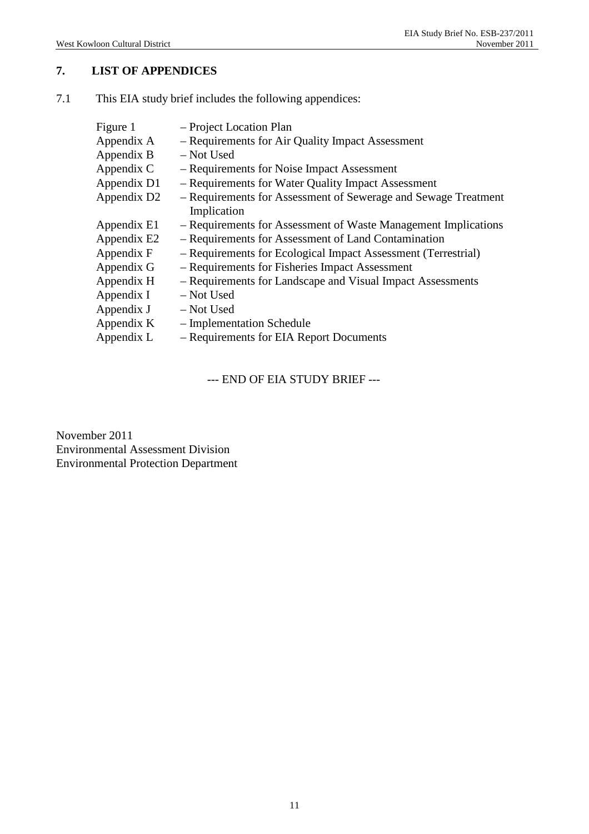## **7. LIST OF APPENDICES**

| Figure 1<br>Appendix A<br>Appendix B | - Project Location Plan<br>- Requirements for Air Quality Impact Assessment<br>- Not Used |
|--------------------------------------|-------------------------------------------------------------------------------------------|
| Appendix C                           | - Requirements for Noise Impact Assessment                                                |
| Appendix D1                          | - Requirements for Water Quality Impact Assessment                                        |
| Appendix D2                          | - Requirements for Assessment of Sewerage and Sewage Treatment<br>Implication             |
| Appendix E1                          | - Requirements for Assessment of Waste Management Implications                            |
| Appendix E2                          | - Requirements for Assessment of Land Contamination                                       |
| Appendix F                           | - Requirements for Ecological Impact Assessment (Terrestrial)                             |
| Appendix G                           | - Requirements for Fisheries Impact Assessment                                            |
| Appendix H                           | - Requirements for Landscape and Visual Impact Assessments                                |
| Appendix I                           | - Not Used                                                                                |
| Appendix J                           | - Not Used                                                                                |
| Appendix K                           | - Implementation Schedule                                                                 |
| Appendix L                           | - Requirements for EIA Report Documents                                                   |

7.1 This EIA study brief includes the following appendices:

--- END OF EIA STUDY BRIEF ---

November 2011 Environmental Assessment Division Environmental Protection Department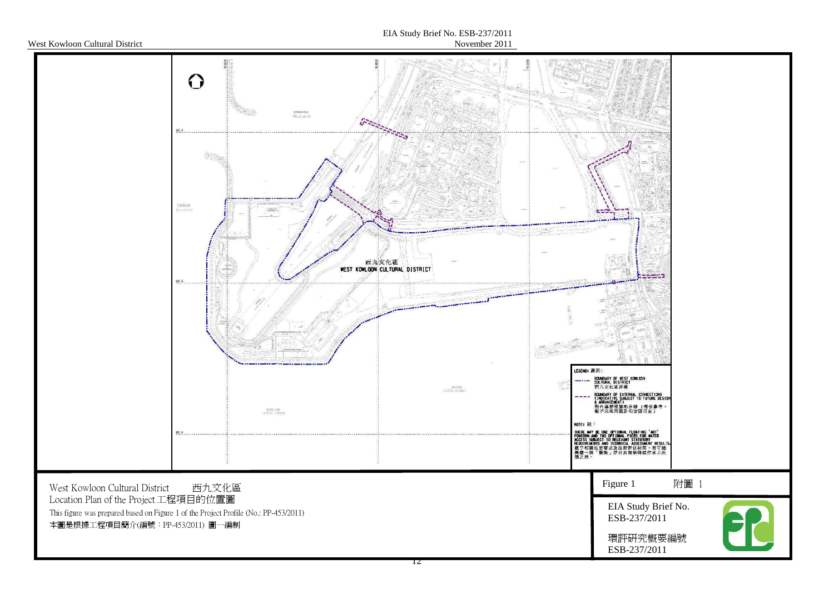

#### EIA Study Brief No. ESB-237/2011November 2011

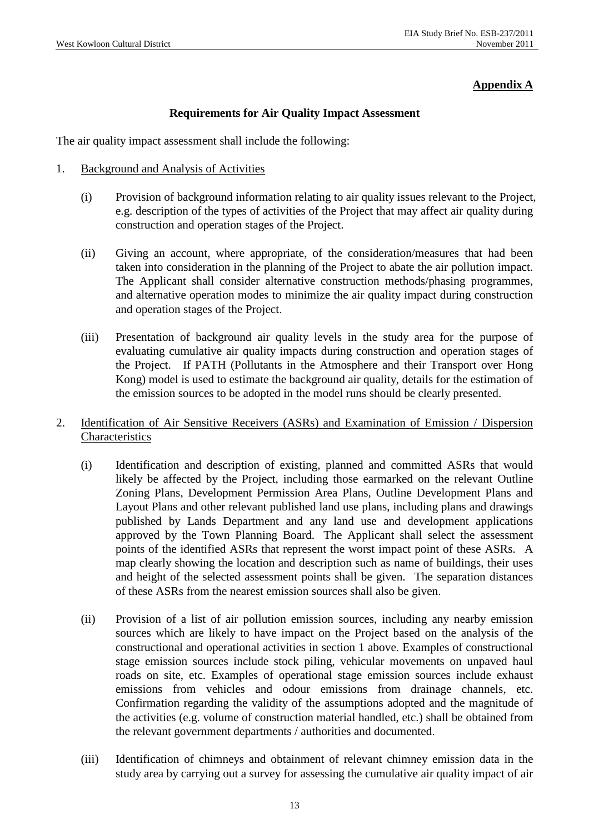## **Appendix A**

### **Requirements for Air Quality Impact Assessment**

The air quality impact assessment shall include the following:

- 1. Background and Analysis of Activities
	- (i) Provision of background information relating to air quality issues relevant to the Project, e.g. description of the types of activities of the Project that may affect air quality during construction and operation stages of the Project.
	- (ii) Giving an account, where appropriate, of the consideration/measures that had been taken into consideration in the planning of the Project to abate the air pollution impact. The Applicant shall consider alternative construction methods/phasing programmes, and alternative operation modes to minimize the air quality impact during construction and operation stages of the Project.
	- (iii) Presentation of background air quality levels in the study area for the purpose of evaluating cumulative air quality impacts during construction and operation stages of the Project. If PATH (Pollutants in the Atmosphere and their Transport over Hong Kong) model is used to estimate the background air quality, details for the estimation of the emission sources to be adopted in the model runs should be clearly presented.
- 2. Identification of Air Sensitive Receivers (ASRs) and Examination of Emission / Dispersion Characteristics
	- (i) Identification and description of existing, planned and committed ASRs that would likely be affected by the Project, including those earmarked on the relevant Outline Zoning Plans, Development Permission Area Plans, Outline Development Plans and Layout Plans and other relevant published land use plans, including plans and drawings published by Lands Department and any land use and development applications approved by the Town Planning Board. The Applicant shall select the assessment points of the identified ASRs that represent the worst impact point of these ASRs. A map clearly showing the location and description such as name of buildings, their uses and height of the selected assessment points shall be given. The separation distances of these ASRs from the nearest emission sources shall also be given.
	- (ii) Provision of a list of air pollution emission sources, including any nearby emission sources which are likely to have impact on the Project based on the analysis of the constructional and operational activities in section 1 above. Examples of constructional stage emission sources include stock piling, vehicular movements on unpaved haul roads on site, etc. Examples of operational stage emission sources include exhaust emissions from vehicles and odour emissions from drainage channels, etc. Confirmation regarding the validity of the assumptions adopted and the magnitude of the activities (e.g. volume of construction material handled, etc.) shall be obtained from the relevant government departments / authorities and documented.
	- (iii) Identification of chimneys and obtainment of relevant chimney emission data in the study area by carrying out a survey for assessing the cumulative air quality impact of air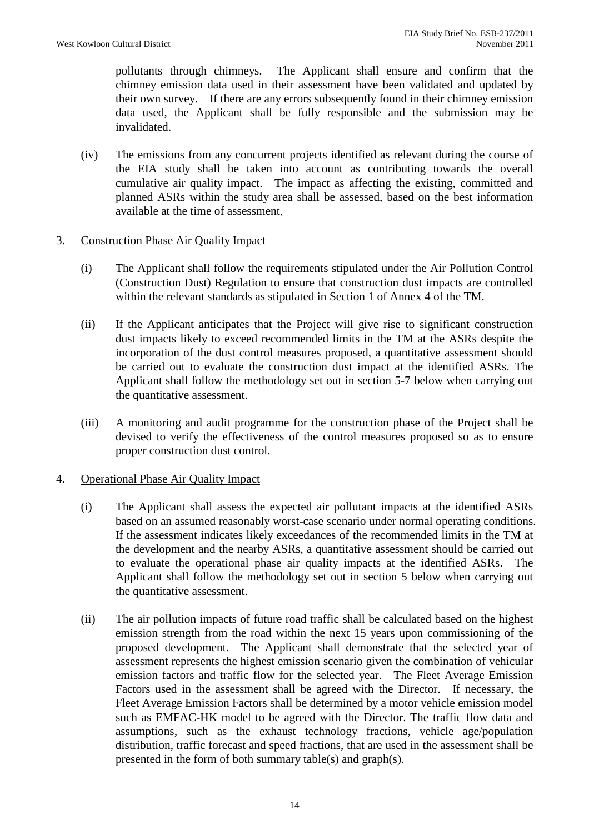pollutants through chimneys. The Applicant shall ensure and confirm that the chimney emission data used in their assessment have been validated and updated by their own survey. If there are any errors subsequently found in their chimney emission data used, the Applicant shall be fully responsible and the submission may be invalidated.

- (iv) The emissions from any concurrent projects identified as relevant during the course of the EIA study shall be taken into account as contributing towards the overall cumulative air quality impact. The impact as affecting the existing, committed and planned ASRs within the study area shall be assessed, based on the best information available at the time of assessment.
- 3. Construction Phase Air Quality Impact
	- (i) The Applicant shall follow the requirements stipulated under the Air Pollution Control (Construction Dust) Regulation to ensure that construction dust impacts are controlled within the relevant standards as stipulated in Section 1 of Annex 4 of the TM.
	- (ii) If the Applicant anticipates that the Project will give rise to significant construction dust impacts likely to exceed recommended limits in the TM at the ASRs despite the incorporation of the dust control measures proposed, a quantitative assessment should be carried out to evaluate the construction dust impact at the identified ASRs. The Applicant shall follow the methodology set out in section 5-7 below when carrying out the quantitative assessment.
	- (iii) A monitoring and audit programme for the construction phase of the Project shall be devised to verify the effectiveness of the control measures proposed so as to ensure proper construction dust control.

## 4. Operational Phase Air Quality Impact

- (i) The Applicant shall assess the expected air pollutant impacts at the identified ASRs based on an assumed reasonably worst-case scenario under normal operating conditions. If the assessment indicates likely exceedances of the recommended limits in the TM at the development and the nearby ASRs, a quantitative assessment should be carried out to evaluate the operational phase air quality impacts at the identified ASRs. The Applicant shall follow the methodology set out in section 5 below when carrying out the quantitative assessment.
- (ii) The air pollution impacts of future road traffic shall be calculated based on the highest emission strength from the road within the next 15 years upon commissioning of the proposed development. The Applicant shall demonstrate that the selected year of assessment represents the highest emission scenario given the combination of vehicular emission factors and traffic flow for the selected year. The Fleet Average Emission Factors used in the assessment shall be agreed with the Director. If necessary, the Fleet Average Emission Factors shall be determined by a motor vehicle emission model such as EMFAC-HK model to be agreed with the Director. The traffic flow data and assumptions, such as the exhaust technology fractions, vehicle age/population distribution, traffic forecast and speed fractions, that are used in the assessment shall be presented in the form of both summary table(s) and graph(s).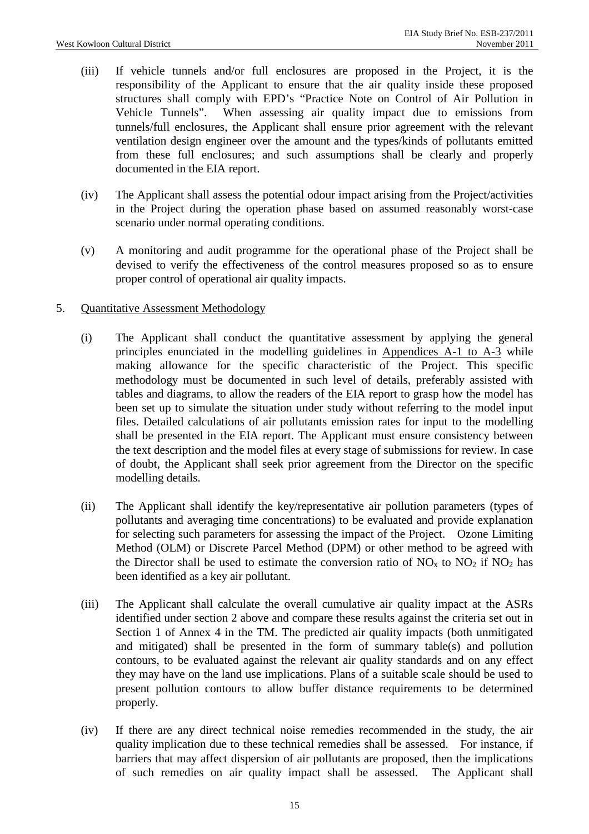- (iii) If vehicle tunnels and/or full enclosures are proposed in the Project, it is the responsibility of the Applicant to ensure that the air quality inside these proposed structures shall comply with EPD's "Practice Note on Control of Air Pollution in Vehicle Tunnels". When assessing air quality impact due to emissions from tunnels/full enclosures, the Applicant shall ensure prior agreement with the relevant ventilation design engineer over the amount and the types/kinds of pollutants emitted from these full enclosures; and such assumptions shall be clearly and properly documented in the EIA report.
- (iv) The Applicant shall assess the potential odour impact arising from the Project/activities in the Project during the operation phase based on assumed reasonably worst-case scenario under normal operating conditions.
- (v) A monitoring and audit programme for the operational phase of the Project shall be devised to verify the effectiveness of the control measures proposed so as to ensure proper control of operational air quality impacts.

### 5. Quantitative Assessment Methodology

- (i) The Applicant shall conduct the quantitative assessment by applying the general principles enunciated in the modelling guidelines in Appendices A-1 to A-3 while making allowance for the specific characteristic of the Project. This specific methodology must be documented in such level of details, preferably assisted with tables and diagrams, to allow the readers of the EIA report to grasp how the model has been set up to simulate the situation under study without referring to the model input files. Detailed calculations of air pollutants emission rates for input to the modelling shall be presented in the EIA report. The Applicant must ensure consistency between the text description and the model files at every stage of submissions for review. In case of doubt, the Applicant shall seek prior agreement from the Director on the specific modelling details.
- (ii) The Applicant shall identify the key/representative air pollution parameters (types of pollutants and averaging time concentrations) to be evaluated and provide explanation for selecting such parameters for assessing the impact of the Project. Ozone Limiting Method (OLM) or Discrete Parcel Method (DPM) or other method to be agreed with the Director shall be used to estimate the conversion ratio of  $NO<sub>x</sub>$  to  $NO<sub>2</sub>$  if  $NO<sub>2</sub>$  has been identified as a key air pollutant.
- (iii) The Applicant shall calculate the overall cumulative air quality impact at the ASRs identified under section 2 above and compare these results against the criteria set out in Section 1 of Annex 4 in the TM. The predicted air quality impacts (both unmitigated and mitigated) shall be presented in the form of summary table(s) and pollution contours, to be evaluated against the relevant air quality standards and on any effect they may have on the land use implications. Plans of a suitable scale should be used to present pollution contours to allow buffer distance requirements to be determined properly.
- (iv) If there are any direct technical noise remedies recommended in the study, the air quality implication due to these technical remedies shall be assessed. For instance, if barriers that may affect dispersion of air pollutants are proposed, then the implications of such remedies on air quality impact shall be assessed. The Applicant shall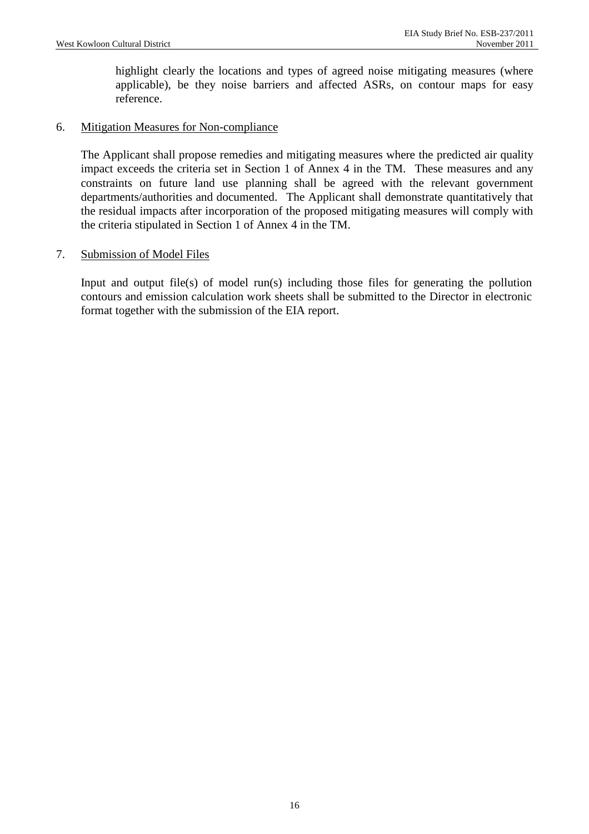highlight clearly the locations and types of agreed noise mitigating measures (where applicable), be they noise barriers and affected ASRs, on contour maps for easy reference.

### 6. Mitigation Measures for Non-compliance

The Applicant shall propose remedies and mitigating measures where the predicted air quality impact exceeds the criteria set in Section 1 of Annex 4 in the TM. These measures and any constraints on future land use planning shall be agreed with the relevant government departments/authorities and documented. The Applicant shall demonstrate quantitatively that the residual impacts after incorporation of the proposed mitigating measures will comply with the criteria stipulated in Section 1 of Annex 4 in the TM.

#### 7. Submission of Model Files

 Input and output file(s) of model run(s) including those files for generating the pollution contours and emission calculation work sheets shall be submitted to the Director in electronic format together with the submission of the EIA report.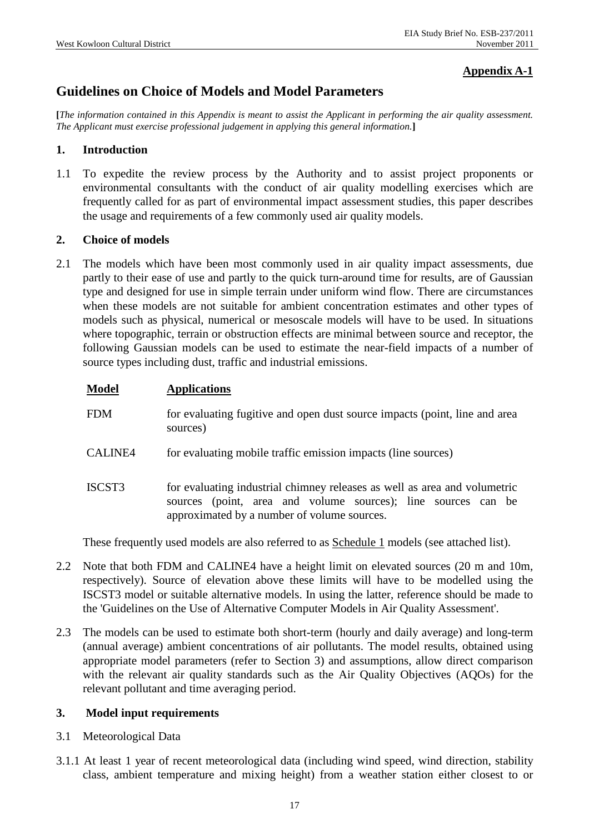## **Appendix A-1**

# **Guidelines on Choice of Models and Model Parameters**

**[***The information contained in this Appendix is meant to assist the Applicant in performing the air quality assessment. The Applicant must exercise professional judgement in applying this general information.***]** 

### **1. Introduction**

1.1 To expedite the review process by the Authority and to assist project proponents or environmental consultants with the conduct of air quality modelling exercises which are frequently called for as part of environmental impact assessment studies, this paper describes the usage and requirements of a few commonly used air quality models.

#### **2. Choice of models**

2.1 The models which have been most commonly used in air quality impact assessments, due partly to their ease of use and partly to the quick turn-around time for results, are of Gaussian type and designed for use in simple terrain under uniform wind flow. There are circumstances when these models are not suitable for ambient concentration estimates and other types of models such as physical, numerical or mesoscale models will have to be used. In situations where topographic, terrain or obstruction effects are minimal between source and receptor, the following Gaussian models can be used to estimate the near-field impacts of a number of source types including dust, traffic and industrial emissions.

| Model   | <b>Applications</b>                                                                                                                                                                       |
|---------|-------------------------------------------------------------------------------------------------------------------------------------------------------------------------------------------|
| FDM     | for evaluating fugitive and open dust source impacts (point, line and area<br>sources)                                                                                                    |
| CALINE4 | for evaluating mobile traffic emission impacts (line sources)                                                                                                                             |
| ISCST3  | for evaluating industrial chimney releases as well as area and volumetric<br>sources (point, area and volume sources); line sources can be<br>approximated by a number of volume sources. |

These frequently used models are also referred to as **Schedule 1** models (see attached list).

- 2.2 Note that both FDM and CALINE4 have a height limit on elevated sources (20 m and 10m, respectively). Source of elevation above these limits will have to be modelled using the ISCST3 model or suitable alternative models. In using the latter, reference should be made to the 'Guidelines on the Use of Alternative Computer Models in Air Quality Assessment'.
- 2.3 The models can be used to estimate both short-term (hourly and daily average) and long-term (annual average) ambient concentrations of air pollutants. The model results, obtained using appropriate model parameters (refer to Section 3) and assumptions, allow direct comparison with the relevant air quality standards such as the Air Quality Objectives (AQOs) for the relevant pollutant and time averaging period.

#### **3. Model input requirements**

- 3.1 Meteorological Data
- 3.1.1 At least 1 year of recent meteorological data (including wind speed, wind direction, stability class, ambient temperature and mixing height) from a weather station either closest to or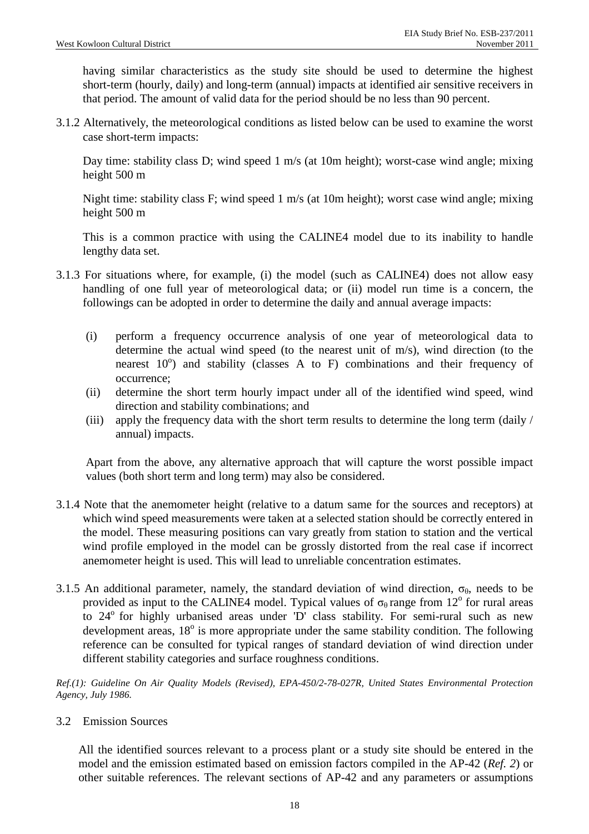having similar characteristics as the study site should be used to determine the highest short-term (hourly, daily) and long-term (annual) impacts at identified air sensitive receivers in that period. The amount of valid data for the period should be no less than 90 percent.

3.1.2 Alternatively, the meteorological conditions as listed below can be used to examine the worst case short-term impacts:

Day time: stability class D; wind speed 1 m/s (at 10m height); worst-case wind angle; mixing height 500 m

Night time: stability class F; wind speed 1 m/s (at 10m height); worst case wind angle; mixing height 500 m

This is a common practice with using the CALINE4 model due to its inability to handle lengthy data set.

- 3.1.3 For situations where, for example, (i) the model (such as CALINE4) does not allow easy handling of one full year of meteorological data; or (ii) model run time is a concern, the followings can be adopted in order to determine the daily and annual average impacts:
	- (i) perform a frequency occurrence analysis of one year of meteorological data to determine the actual wind speed (to the nearest unit of m/s), wind direction (to the nearest  $10^{\circ}$ ) and stability (classes A to F) combinations and their frequency of occurrence;
	- (ii) determine the short term hourly impact under all of the identified wind speed, wind direction and stability combinations; and
	- (iii) apply the frequency data with the short term results to determine the long term (daily / annual) impacts.

Apart from the above, any alternative approach that will capture the worst possible impact values (both short term and long term) may also be considered.

- 3.1.4 Note that the anemometer height (relative to a datum same for the sources and receptors) at which wind speed measurements were taken at a selected station should be correctly entered in the model. These measuring positions can vary greatly from station to station and the vertical wind profile employed in the model can be grossly distorted from the real case if incorrect anemometer height is used. This will lead to unreliable concentration estimates.
- 3.1.5 An additional parameter, namely, the standard deviation of wind direction,  $\sigma_{\theta}$ , needs to be provided as input to the CALINE4 model. Typical values of  $\sigma_{\theta}$  range from 12<sup>o</sup> for rural areas to 24<sup>°</sup> for highly urbanised areas under 'D' class stability. For semi-rural such as new development areas,  $18^{\circ}$  is more appropriate under the same stability condition. The following reference can be consulted for typical ranges of standard deviation of wind direction under different stability categories and surface roughness conditions.

*Ref.(1): Guideline On Air Quality Models (Revised), EPA-450/2-78-027R, United States Environmental Protection Agency, July 1986.*

3.2 Emission Sources

All the identified sources relevant to a process plant or a study site should be entered in the model and the emission estimated based on emission factors compiled in the AP-42 (*Ref. 2*) or other suitable references. The relevant sections of AP-42 and any parameters or assumptions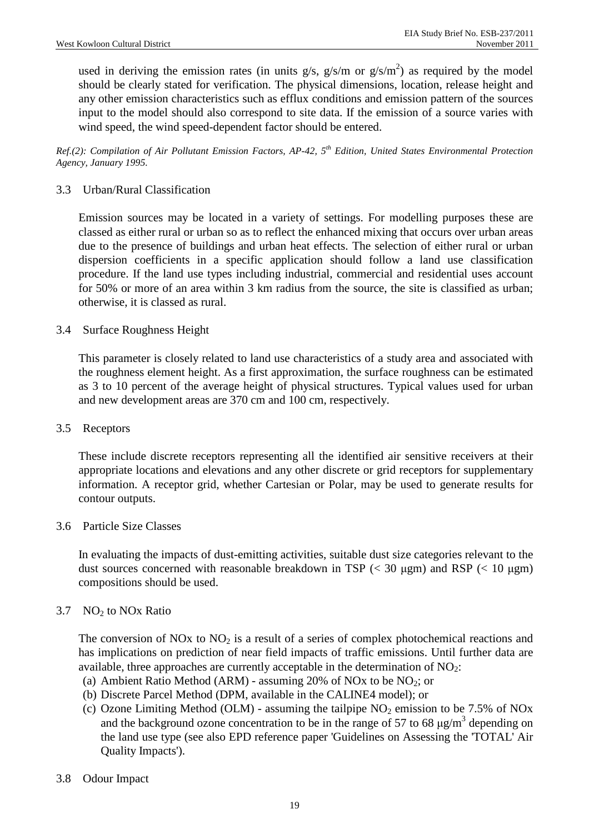used in deriving the emission rates (in units  $g/s$ ,  $g/s/m$  or  $g/s/m<sup>2</sup>$ ) as required by the model should be clearly stated for verification. The physical dimensions, location, release height and any other emission characteristics such as efflux conditions and emission pattern of the sources input to the model should also correspond to site data. If the emission of a source varies with wind speed, the wind speed-dependent factor should be entered.

*Ref.(2): Compilation of Air Pollutant Emission Factors, AP-42, 5th Edition, United States Environmental Protection Agency, January 1995.*

### 3.3 Urban/Rural Classification

Emission sources may be located in a variety of settings. For modelling purposes these are classed as either rural or urban so as to reflect the enhanced mixing that occurs over urban areas due to the presence of buildings and urban heat effects. The selection of either rural or urban dispersion coefficients in a specific application should follow a land use classification procedure. If the land use types including industrial, commercial and residential uses account for 50% or more of an area within 3 km radius from the source, the site is classified as urban; otherwise, it is classed as rural.

3.4 Surface Roughness Height

This parameter is closely related to land use characteristics of a study area and associated with the roughness element height. As a first approximation, the surface roughness can be estimated as 3 to 10 percent of the average height of physical structures. Typical values used for urban and new development areas are 370 cm and 100 cm, respectively.

#### 3.5 Receptors

These include discrete receptors representing all the identified air sensitive receivers at their appropriate locations and elevations and any other discrete or grid receptors for supplementary information. A receptor grid, whether Cartesian or Polar, may be used to generate results for contour outputs.

#### 3.6 Particle Size Classes

In evaluating the impacts of dust-emitting activities, suitable dust size categories relevant to the dust sources concerned with reasonable breakdown in TSP  $\ll$  30  $\mu$ gm) and RSP  $\ll$  10  $\mu$ gm) compositions should be used.

#### 3.7  $NO<sub>2</sub>$  to NOx Ratio

The conversion of NOx to  $NO<sub>2</sub>$  is a result of a series of complex photochemical reactions and has implications on prediction of near field impacts of traffic emissions. Until further data are available, three approaches are currently acceptable in the determination of  $NO<sub>2</sub>$ :

- (a) Ambient Ratio Method (ARM) assuming 20% of NOx to be  $NO<sub>2</sub>$ ; or
- (b) Discrete Parcel Method (DPM, available in the CALINE4 model); or
- (c) Ozone Limiting Method (OLM) assuming the tailpipe  $NO<sub>2</sub>$  emission to be 7.5% of NOx and the background ozone concentration to be in the range of 57 to 68  $\mu$ g/m<sup>3</sup> depending on the land use type (see also EPD reference paper 'Guidelines on Assessing the 'TOTAL' Air Quality Impacts').

#### 3.8 Odour Impact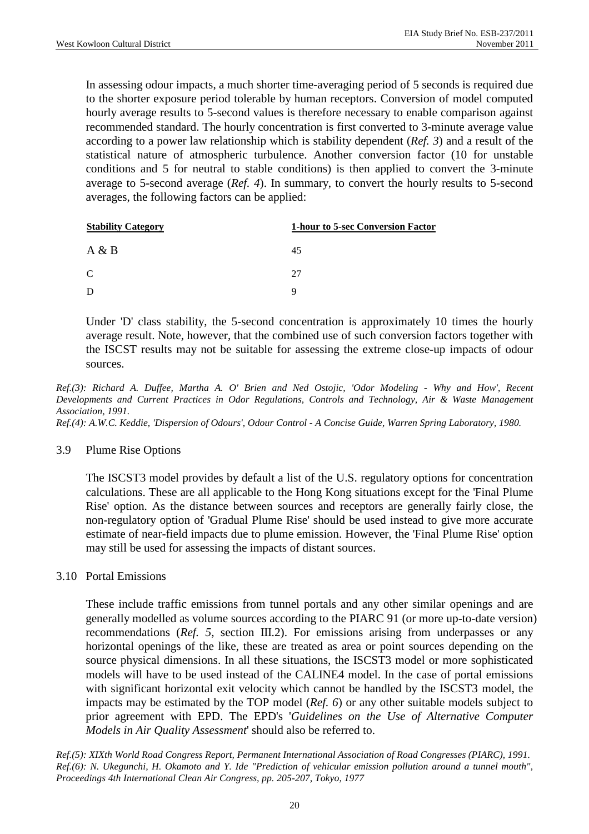In assessing odour impacts, a much shorter time-averaging period of 5 seconds is required due to the shorter exposure period tolerable by human receptors. Conversion of model computed hourly average results to 5-second values is therefore necessary to enable comparison against recommended standard. The hourly concentration is first converted to 3-minute average value according to a power law relationship which is stability dependent (*Ref. 3*) and a result of the statistical nature of atmospheric turbulence. Another conversion factor (10 for unstable conditions and 5 for neutral to stable conditions) is then applied to convert the 3-minute average to 5-second average (*Ref. 4*). In summary, to convert the hourly results to 5-second averages, the following factors can be applied:

| <b>Stability Category</b> | <b>1-hour to 5-sec Conversion Factor</b> |
|---------------------------|------------------------------------------|
| A & B                     | 45                                       |
| $\mathcal{C}$             | 27                                       |
| D                         | Q                                        |

Under 'D' class stability, the 5-second concentration is approximately 10 times the hourly average result. Note, however, that the combined use of such conversion factors together with the ISCST results may not be suitable for assessing the extreme close-up impacts of odour sources.

*Ref.(3): Richard A. Duffee, Martha A. O' Brien and Ned Ostojic, 'Odor Modeling - Why and How', Recent Developments and Current Practices in Odor Regulations, Controls and Technology, Air & Waste Management Association, 1991.* 

*Ref.(4): A.W.C. Keddie, 'Dispersion of Odours', Odour Control - A Concise Guide, Warren Spring Laboratory, 1980.*

#### 3.9 Plume Rise Options

The ISCST3 model provides by default a list of the U.S. regulatory options for concentration calculations. These are all applicable to the Hong Kong situations except for the 'Final Plume Rise' option. As the distance between sources and receptors are generally fairly close, the non-regulatory option of 'Gradual Plume Rise' should be used instead to give more accurate estimate of near-field impacts due to plume emission. However, the 'Final Plume Rise' option may still be used for assessing the impacts of distant sources.

#### 3.10 Portal Emissions

These include traffic emissions from tunnel portals and any other similar openings and are generally modelled as volume sources according to the PIARC 91 (or more up-to-date version) recommendations (*Ref. 5*, section III.2). For emissions arising from underpasses or any horizontal openings of the like, these are treated as area or point sources depending on the source physical dimensions. In all these situations, the ISCST3 model or more sophisticated models will have to be used instead of the CALINE4 model. In the case of portal emissions with significant horizontal exit velocity which cannot be handled by the ISCST3 model, the impacts may be estimated by the TOP model (*Ref. 6*) or any other suitable models subject to prior agreement with EPD. The EPD's '*Guidelines on the Use of Alternative Computer Models in Air Quality Assessment*' should also be referred to.

*Ref.(5): XIXth World Road Congress Report, Permanent International Association of Road Congresses (PIARC), 1991. Ref.(6): N. Ukegunchi, H. Okamoto and Y. Ide "Prediction of vehicular emission pollution around a tunnel mouth", Proceedings 4th International Clean Air Congress, pp. 205-207, Tokyo, 1977*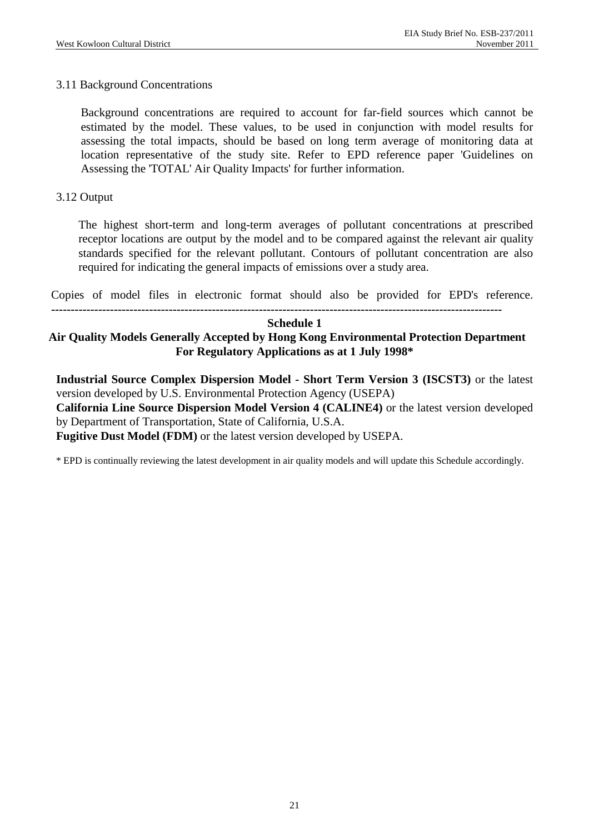### 3.11 Background Concentrations

Background concentrations are required to account for far-field sources which cannot be estimated by the model. These values, to be used in conjunction with model results for assessing the total impacts, should be based on long term average of monitoring data at location representative of the study site. Refer to EPD reference paper 'Guidelines on Assessing the 'TOTAL' Air Quality Impacts' for further information.

### 3.12 Output

The highest short-term and long-term averages of pollutant concentrations at prescribed receptor locations are output by the model and to be compared against the relevant air quality standards specified for the relevant pollutant. Contours of pollutant concentration are also required for indicating the general impacts of emissions over a study area.

Copies of model files in electronic format should also be provided for EPD's reference.

**-------------------------------------------------------------------------------------------------------------------** 

#### **Schedule 1**

## **Air Quality Models Generally Accepted by Hong Kong Environmental Protection Department For Regulatory Applications as at 1 July 1998\***

**Industrial Source Complex Dispersion Model - Short Term Version 3 (ISCST3)** or the latest version developed by U.S. Environmental Protection Agency (USEPA) **California Line Source Dispersion Model Version 4 (CALINE4)** or the latest version developed by Department of Transportation, State of California, U.S.A.

**Fugitive Dust Model (FDM)** or the latest version developed by USEPA.

\* EPD is continually reviewing the latest development in air quality models and will update this Schedule accordingly.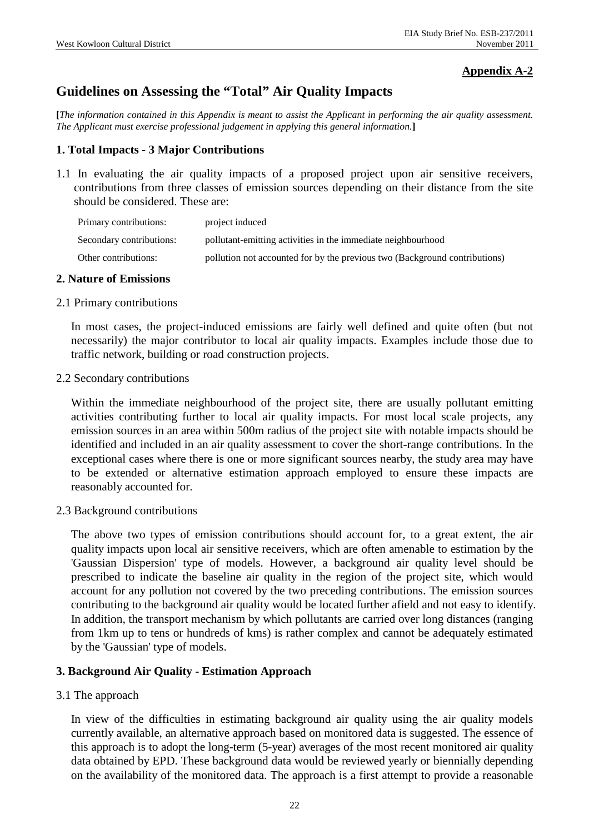## **Appendix A-2**

# **Guidelines on Assessing the "Total" Air Quality Impacts**

**[***The information contained in this Appendix is meant to assist the Applicant in performing the air quality assessment. The Applicant must exercise professional judgement in applying this general information.***]** 

### **1. Total Impacts - 3 Major Contributions**

1.1 In evaluating the air quality impacts of a proposed project upon air sensitive receivers, contributions from three classes of emission sources depending on their distance from the site should be considered. These are:

| Primary contributions:   | project induced                                                            |
|--------------------------|----------------------------------------------------------------------------|
| Secondary contributions: | pollutant-emitting activities in the immediate neighbourhood               |
| Other contributions:     | pollution not accounted for by the previous two (Background contributions) |

#### **2. Nature of Emissions**

#### 2.1 Primary contributions

In most cases, the project-induced emissions are fairly well defined and quite often (but not necessarily) the major contributor to local air quality impacts. Examples include those due to traffic network, building or road construction projects.

#### 2.2 Secondary contributions

Within the immediate neighbourhood of the project site, there are usually pollutant emitting activities contributing further to local air quality impacts. For most local scale projects, any emission sources in an area within 500m radius of the project site with notable impacts should be identified and included in an air quality assessment to cover the short-range contributions. In the exceptional cases where there is one or more significant sources nearby, the study area may have to be extended or alternative estimation approach employed to ensure these impacts are reasonably accounted for.

2.3 Background contributions

The above two types of emission contributions should account for, to a great extent, the air quality impacts upon local air sensitive receivers, which are often amenable to estimation by the 'Gaussian Dispersion' type of models. However, a background air quality level should be prescribed to indicate the baseline air quality in the region of the project site, which would account for any pollution not covered by the two preceding contributions. The emission sources contributing to the background air quality would be located further afield and not easy to identify. In addition, the transport mechanism by which pollutants are carried over long distances (ranging from 1km up to tens or hundreds of kms) is rather complex and cannot be adequately estimated by the 'Gaussian' type of models.

## **3. Background Air Quality - Estimation Approach**

3.1 The approach

In view of the difficulties in estimating background air quality using the air quality models currently available, an alternative approach based on monitored data is suggested. The essence of this approach is to adopt the long-term (5-year) averages of the most recent monitored air quality data obtained by EPD. These background data would be reviewed yearly or biennially depending on the availability of the monitored data. The approach is a first attempt to provide a reasonable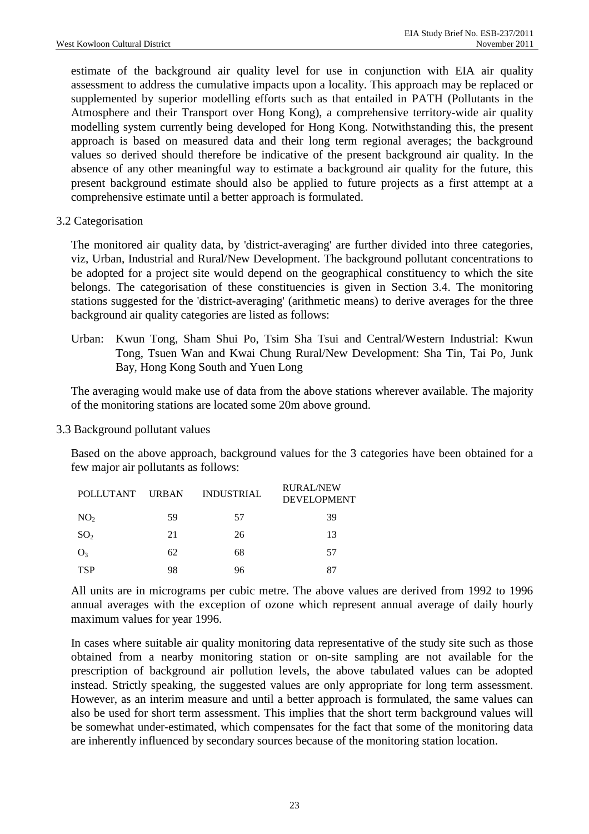estimate of the background air quality level for use in conjunction with EIA air quality assessment to address the cumulative impacts upon a locality. This approach may be replaced or supplemented by superior modelling efforts such as that entailed in PATH (Pollutants in the Atmosphere and their Transport over Hong Kong), a comprehensive territory-wide air quality modelling system currently being developed for Hong Kong. Notwithstanding this, the present approach is based on measured data and their long term regional averages; the background values so derived should therefore be indicative of the present background air quality. In the absence of any other meaningful way to estimate a background air quality for the future, this present background estimate should also be applied to future projects as a first attempt at a comprehensive estimate until a better approach is formulated.

3.2 Categorisation

The monitored air quality data, by 'district-averaging' are further divided into three categories, viz, Urban, Industrial and Rural/New Development. The background pollutant concentrations to be adopted for a project site would depend on the geographical constituency to which the site belongs. The categorisation of these constituencies is given in Section 3.4. The monitoring stations suggested for the 'district-averaging' (arithmetic means) to derive averages for the three background air quality categories are listed as follows:

Urban: Kwun Tong, Sham Shui Po, Tsim Sha Tsui and Central/Western Industrial: Kwun Tong, Tsuen Wan and Kwai Chung Rural/New Development: Sha Tin, Tai Po, Junk Bay, Hong Kong South and Yuen Long

The averaging would make use of data from the above stations wherever available. The majority of the monitoring stations are located some 20m above ground.

#### 3.3 Background pollutant values

Based on the above approach, background values for the 3 categories have been obtained for a few major air pollutants as follows:

| <b>POLLUTANT</b> | <b>URBAN</b> | <b>INDUSTRIAL</b> | <b>RURAL/NEW</b><br><b>DEVELOPMENT</b> |
|------------------|--------------|-------------------|----------------------------------------|
| NO <sub>2</sub>  | 59           | 57                | 39                                     |
| SO <sub>2</sub>  | 21           | 26                | 13                                     |
| $O_3$            | 62           | 68                | 57                                     |
| <b>TSP</b>       | 98           | 96                |                                        |

All units are in micrograms per cubic metre. The above values are derived from 1992 to 1996 annual averages with the exception of ozone which represent annual average of daily hourly maximum values for year 1996.

In cases where suitable air quality monitoring data representative of the study site such as those obtained from a nearby monitoring station or on-site sampling are not available for the prescription of background air pollution levels, the above tabulated values can be adopted instead. Strictly speaking, the suggested values are only appropriate for long term assessment. However, as an interim measure and until a better approach is formulated, the same values can also be used for short term assessment. This implies that the short term background values will be somewhat under-estimated, which compensates for the fact that some of the monitoring data are inherently influenced by secondary sources because of the monitoring station location.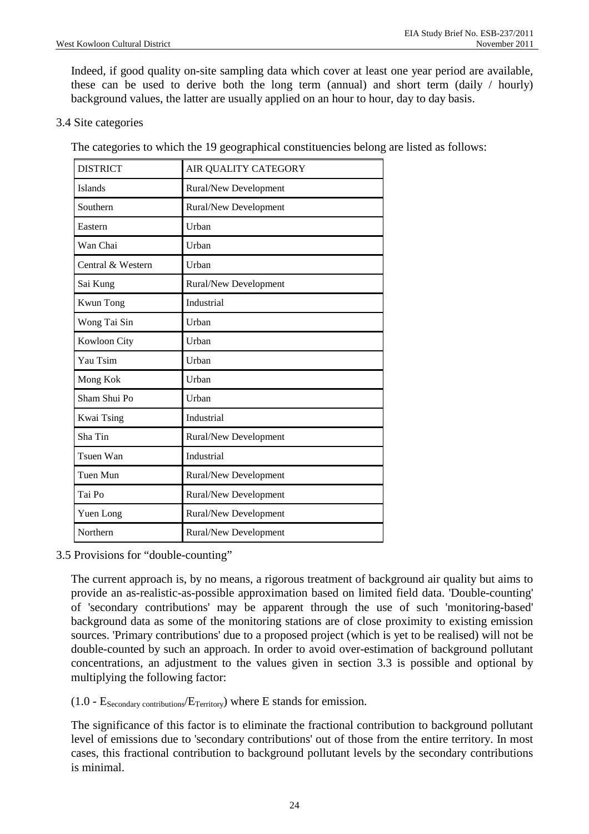Indeed, if good quality on-site sampling data which cover at least one year period are available, these can be used to derive both the long term (annual) and short term (daily / hourly) background values, the latter are usually applied on an hour to hour, day to day basis.

### 3.4 Site categories

The categories to which the 19 geographical constituencies belong are listed as follows:

| <b>DISTRICT</b>   | AIR QUALITY CATEGORY         |
|-------------------|------------------------------|
| Islands           | <b>Rural/New Development</b> |
| Southern          | <b>Rural/New Development</b> |
| Eastern           | Urban                        |
| Wan Chai          | Urban                        |
| Central & Western | Urban                        |
| Sai Kung          | <b>Rural/New Development</b> |
| <b>Kwun Tong</b>  | Industrial                   |
| Wong Tai Sin      | Urban                        |
| Kowloon City      | Urban                        |
| Yau Tsim          | Urban                        |
| Mong Kok          | Urban                        |
| Sham Shui Po      | Urban                        |
| Kwai Tsing        | Industrial                   |
| Sha Tin           | <b>Rural/New Development</b> |
| Tsuen Wan         | Industrial                   |
| Tuen Mun          | <b>Rural/New Development</b> |
| Tai Po            | <b>Rural/New Development</b> |
| Yuen Long         | <b>Rural/New Development</b> |
| Northern          | <b>Rural/New Development</b> |

#### 3.5 Provisions for "double-counting"

The current approach is, by no means, a rigorous treatment of background air quality but aims to provide an as-realistic-as-possible approximation based on limited field data. 'Double-counting' of 'secondary contributions' may be apparent through the use of such 'monitoring-based' background data as some of the monitoring stations are of close proximity to existing emission sources. 'Primary contributions' due to a proposed project (which is yet to be realised) will not be double-counted by such an approach. In order to avoid over-estimation of background pollutant concentrations, an adjustment to the values given in section 3.3 is possible and optional by multiplying the following factor:

 $(1.0 - E_{\text{Secondary contributions}}/E_{\text{Teritory}})$  where E stands for emission.

The significance of this factor is to eliminate the fractional contribution to background pollutant level of emissions due to 'secondary contributions' out of those from the entire territory. In most cases, this fractional contribution to background pollutant levels by the secondary contributions is minimal.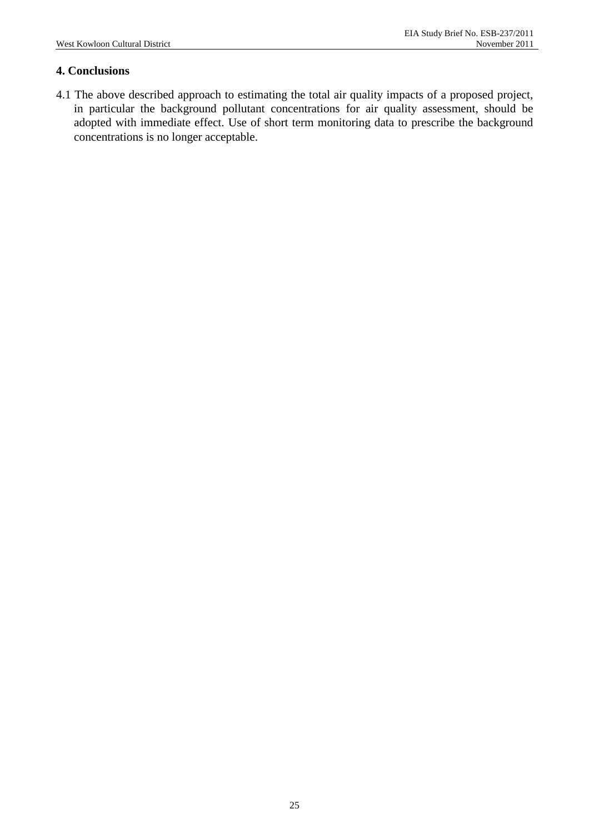## **4. Conclusions**

4.1 The above described approach to estimating the total air quality impacts of a proposed project, in particular the background pollutant concentrations for air quality assessment, should be adopted with immediate effect. Use of short term monitoring data to prescribe the background concentrations is no longer acceptable.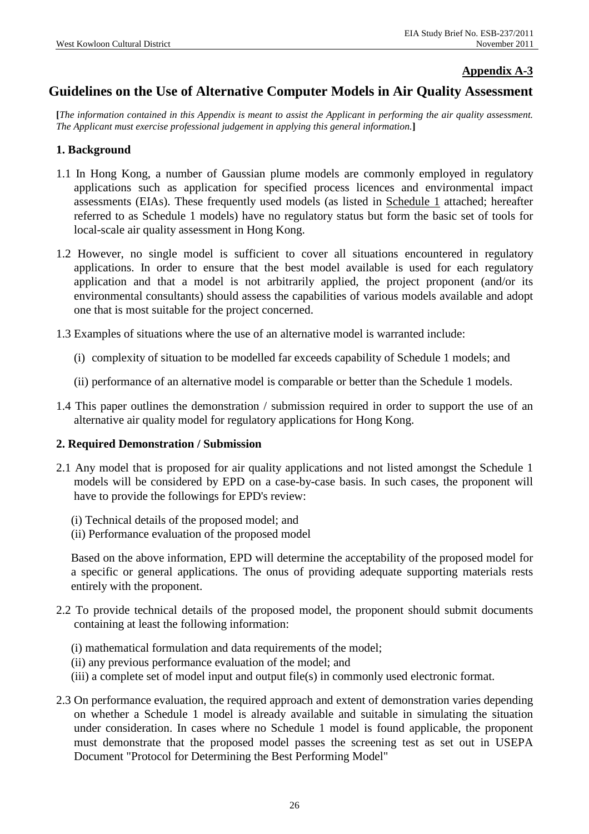### **Appendix A-3**

## **Guidelines on the Use of Alternative Computer Models in Air Quality Assessment**

**[***The information contained in this Appendix is meant to assist the Applicant in performing the air quality assessment. The Applicant must exercise professional judgement in applying this general information.***]** 

#### **1. Background**

- 1.1 In Hong Kong, a number of Gaussian plume models are commonly employed in regulatory applications such as application for specified process licences and environmental impact assessments (EIAs). These frequently used models (as listed in Schedule 1 attached; hereafter referred to as Schedule 1 models) have no regulatory status but form the basic set of tools for local-scale air quality assessment in Hong Kong.
- 1.2 However, no single model is sufficient to cover all situations encountered in regulatory applications. In order to ensure that the best model available is used for each regulatory application and that a model is not arbitrarily applied, the project proponent (and/or its environmental consultants) should assess the capabilities of various models available and adopt one that is most suitable for the project concerned.
- 1.3 Examples of situations where the use of an alternative model is warranted include:
	- (i) complexity of situation to be modelled far exceeds capability of Schedule 1 models; and
	- (ii) performance of an alternative model is comparable or better than the Schedule 1 models.
- 1.4 This paper outlines the demonstration / submission required in order to support the use of an alternative air quality model for regulatory applications for Hong Kong.

#### **2. Required Demonstration / Submission**

- 2.1 Any model that is proposed for air quality applications and not listed amongst the Schedule 1 models will be considered by EPD on a case-by-case basis. In such cases, the proponent will have to provide the followings for EPD's review:
	- (i) Technical details of the proposed model; and
	- (ii) Performance evaluation of the proposed model

Based on the above information, EPD will determine the acceptability of the proposed model for a specific or general applications. The onus of providing adequate supporting materials rests entirely with the proponent.

- 2.2 To provide technical details of the proposed model, the proponent should submit documents containing at least the following information:
	- (i) mathematical formulation and data requirements of the model;
	- (ii) any previous performance evaluation of the model; and
	- (iii) a complete set of model input and output file(s) in commonly used electronic format.
- 2.3 On performance evaluation, the required approach and extent of demonstration varies depending on whether a Schedule 1 model is already available and suitable in simulating the situation under consideration. In cases where no Schedule 1 model is found applicable, the proponent must demonstrate that the proposed model passes the screening test as set out in USEPA Document "Protocol for Determining the Best Performing Model"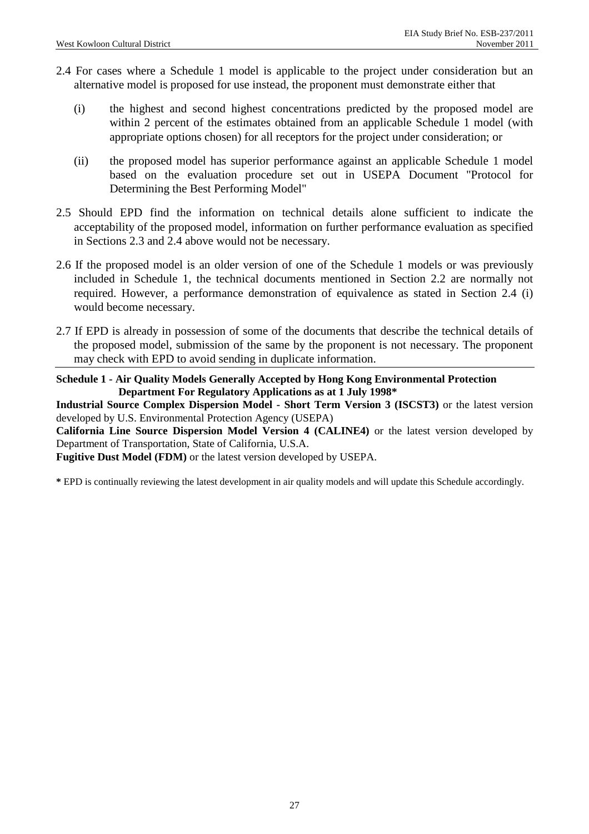- 2.4 For cases where a Schedule 1 model is applicable to the project under consideration but an alternative model is proposed for use instead, the proponent must demonstrate either that
	- (i) the highest and second highest concentrations predicted by the proposed model are within 2 percent of the estimates obtained from an applicable Schedule 1 model (with appropriate options chosen) for all receptors for the project under consideration; or
	- (ii) the proposed model has superior performance against an applicable Schedule 1 model based on the evaluation procedure set out in USEPA Document "Protocol for Determining the Best Performing Model"
- 2.5 Should EPD find the information on technical details alone sufficient to indicate the acceptability of the proposed model, information on further performance evaluation as specified in Sections 2.3 and 2.4 above would not be necessary.
- 2.6 If the proposed model is an older version of one of the Schedule 1 models or was previously included in Schedule 1, the technical documents mentioned in Section 2.2 are normally not required. However, a performance demonstration of equivalence as stated in Section 2.4 (i) would become necessary.
- 2.7 If EPD is already in possession of some of the documents that describe the technical details of the proposed model, submission of the same by the proponent is not necessary. The proponent may check with EPD to avoid sending in duplicate information.

#### **Schedule 1 - Air Quality Models Generally Accepted by Hong Kong Environmental Protection Department For Regulatory Applications as at 1 July 1998\***

**Industrial Source Complex Dispersion Model - Short Term Version 3 (ISCST3)** or the latest version developed by U.S. Environmental Protection Agency (USEPA)

**California Line Source Dispersion Model Version 4 (CALINE4)** or the latest version developed by Department of Transportation, State of California, U.S.A.

**Fugitive Dust Model (FDM)** or the latest version developed by USEPA.

**\*** EPD is continually reviewing the latest development in air quality models and will update this Schedule accordingly.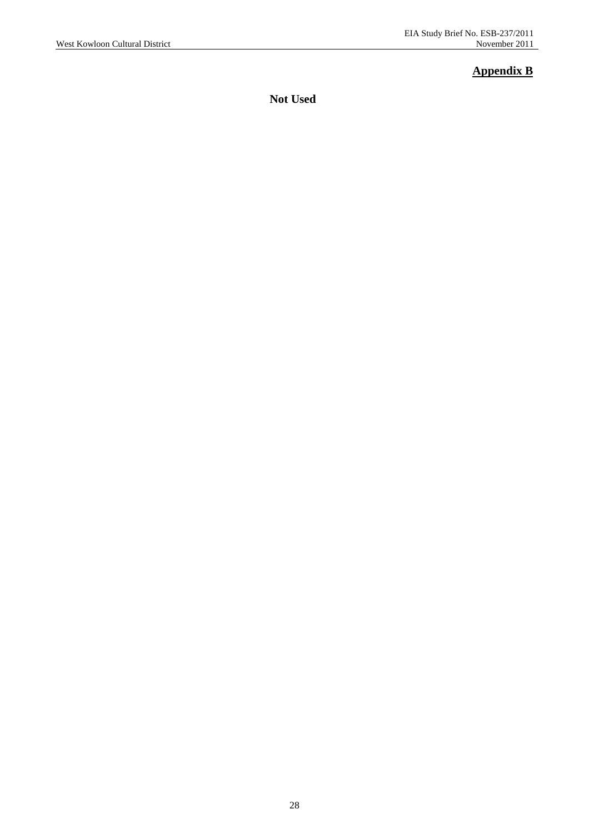## **Appendix B**

**Not Used**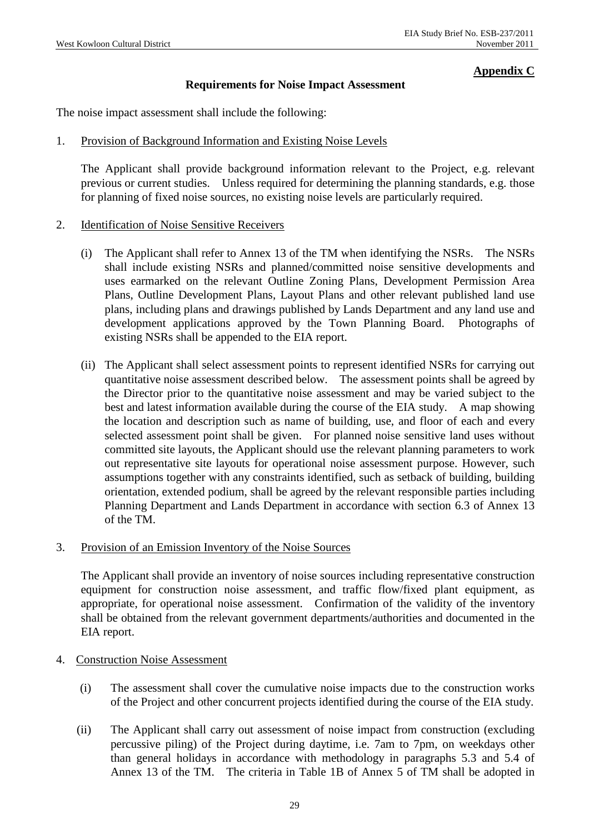#### **Appendix C**

### **Requirements for Noise Impact Assessment**

The noise impact assessment shall include the following:

#### 1. Provision of Background Information and Existing Noise Levels

The Applicant shall provide background information relevant to the Project, e.g. relevant previous or current studies. Unless required for determining the planning standards, e.g. those for planning of fixed noise sources, no existing noise levels are particularly required.

#### 2. Identification of Noise Sensitive Receivers

- (i) The Applicant shall refer to Annex 13 of the TM when identifying the NSRs. The NSRs shall include existing NSRs and planned/committed noise sensitive developments and uses earmarked on the relevant Outline Zoning Plans, Development Permission Area Plans, Outline Development Plans, Layout Plans and other relevant published land use plans, including plans and drawings published by Lands Department and any land use and development applications approved by the Town Planning Board. Photographs of existing NSRs shall be appended to the EIA report.
- (ii) The Applicant shall select assessment points to represent identified NSRs for carrying out quantitative noise assessment described below. The assessment points shall be agreed by the Director prior to the quantitative noise assessment and may be varied subject to the best and latest information available during the course of the EIA study. A map showing the location and description such as name of building, use, and floor of each and every selected assessment point shall be given. For planned noise sensitive land uses without committed site layouts, the Applicant should use the relevant planning parameters to work out representative site layouts for operational noise assessment purpose. However, such assumptions together with any constraints identified, such as setback of building, building orientation, extended podium, shall be agreed by the relevant responsible parties including Planning Department and Lands Department in accordance with section 6.3 of Annex 13 of the TM.

#### 3. Provision of an Emission Inventory of the Noise Sources

 The Applicant shall provide an inventory of noise sources including representative construction equipment for construction noise assessment, and traffic flow/fixed plant equipment, as appropriate, for operational noise assessment. Confirmation of the validity of the inventory shall be obtained from the relevant government departments/authorities and documented in the EIA report.

#### 4. Construction Noise Assessment

- (i) The assessment shall cover the cumulative noise impacts due to the construction works of the Project and other concurrent projects identified during the course of the EIA study.
- (ii) The Applicant shall carry out assessment of noise impact from construction (excluding percussive piling) of the Project during daytime, i.e. 7am to 7pm, on weekdays other than general holidays in accordance with methodology in paragraphs 5.3 and 5.4 of Annex 13 of the TM. The criteria in Table 1B of Annex 5 of TM shall be adopted in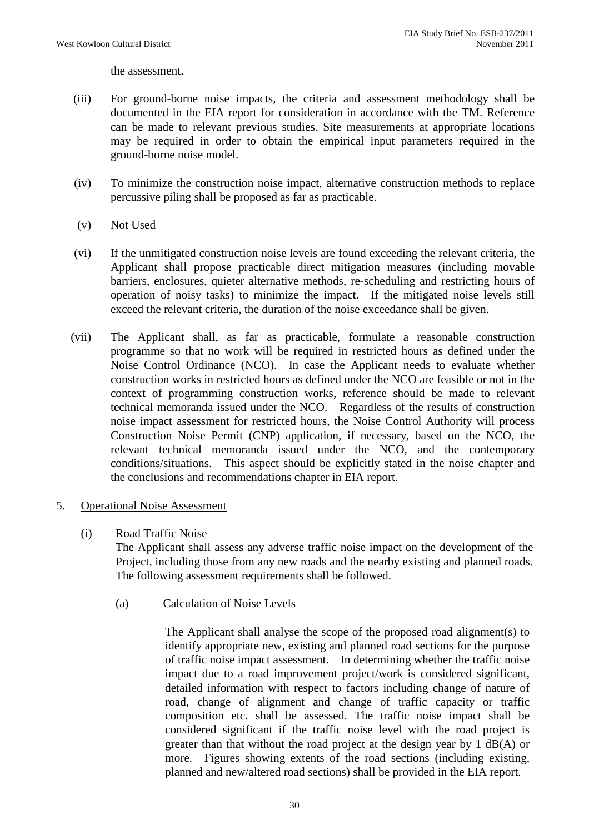the assessment.

- (iii) For ground-borne noise impacts, the criteria and assessment methodology shall be documented in the EIA report for consideration in accordance with the TM. Reference can be made to relevant previous studies. Site measurements at appropriate locations may be required in order to obtain the empirical input parameters required in the ground-borne noise model.
- (iv) To minimize the construction noise impact, alternative construction methods to replace percussive piling shall be proposed as far as practicable.
- (v) Not Used
- (vi) If the unmitigated construction noise levels are found exceeding the relevant criteria, the Applicant shall propose practicable direct mitigation measures (including movable barriers, enclosures, quieter alternative methods, re-scheduling and restricting hours of operation of noisy tasks) to minimize the impact. If the mitigated noise levels still exceed the relevant criteria, the duration of the noise exceedance shall be given.
- (vii) The Applicant shall, as far as practicable, formulate a reasonable construction programme so that no work will be required in restricted hours as defined under the Noise Control Ordinance (NCO). In case the Applicant needs to evaluate whether construction works in restricted hours as defined under the NCO are feasible or not in the context of programming construction works, reference should be made to relevant technical memoranda issued under the NCO. Regardless of the results of construction noise impact assessment for restricted hours, the Noise Control Authority will process Construction Noise Permit (CNP) application, if necessary, based on the NCO, the relevant technical memoranda issued under the NCO, and the contemporary conditions/situations. This aspect should be explicitly stated in the noise chapter and the conclusions and recommendations chapter in EIA report.

#### 5. Operational Noise Assessment

#### (i) Road Traffic Noise

The Applicant shall assess any adverse traffic noise impact on the development of the Project, including those from any new roads and the nearby existing and planned roads. The following assessment requirements shall be followed.

(a) Calculation of Noise Levels

The Applicant shall analyse the scope of the proposed road alignment(s) to identify appropriate new, existing and planned road sections for the purpose of traffic noise impact assessment. In determining whether the traffic noise impact due to a road improvement project/work is considered significant, detailed information with respect to factors including change of nature of road, change of alignment and change of traffic capacity or traffic composition etc. shall be assessed. The traffic noise impact shall be considered significant if the traffic noise level with the road project is greater than that without the road project at the design year by 1 dB(A) or more. Figures showing extents of the road sections (including existing, planned and new/altered road sections) shall be provided in the EIA report.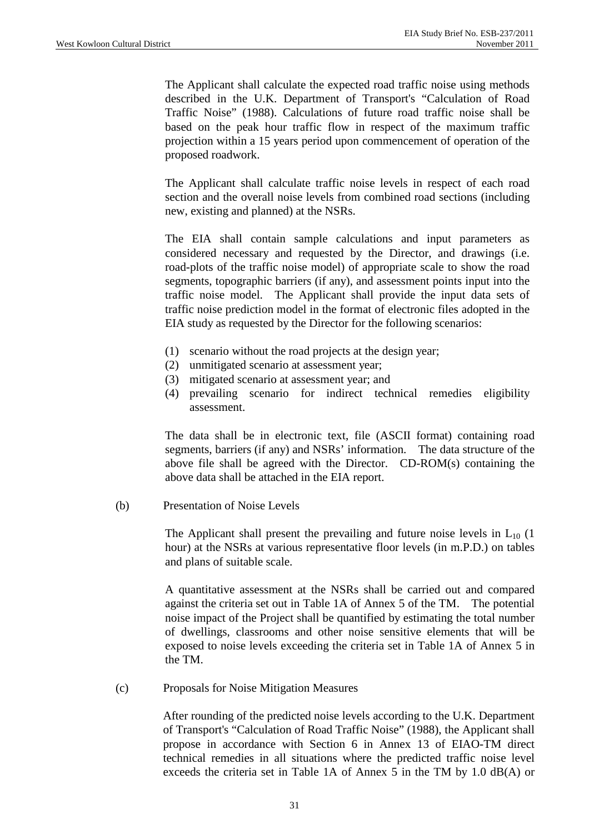The Applicant shall calculate the expected road traffic noise using methods described in the U.K. Department of Transport's "Calculation of Road Traffic Noise" (1988). Calculations of future road traffic noise shall be based on the peak hour traffic flow in respect of the maximum traffic projection within a 15 years period upon commencement of operation of the proposed roadwork.

The Applicant shall calculate traffic noise levels in respect of each road section and the overall noise levels from combined road sections (including new, existing and planned) at the NSRs.

The EIA shall contain sample calculations and input parameters as considered necessary and requested by the Director, and drawings (i.e. road-plots of the traffic noise model) of appropriate scale to show the road segments, topographic barriers (if any), and assessment points input into the traffic noise model. The Applicant shall provide the input data sets of traffic noise prediction model in the format of electronic files adopted in the EIA study as requested by the Director for the following scenarios:

- (1) scenario without the road projects at the design year;
- (2) unmitigated scenario at assessment year;
- (3) mitigated scenario at assessment year; and
- (4) prevailing scenario for indirect technical remedies eligibility assessment.

The data shall be in electronic text, file (ASCII format) containing road segments, barriers (if any) and NSRs' information. The data structure of the above file shall be agreed with the Director. CD-ROM(s) containing the above data shall be attached in the EIA report.

(b) Presentation of Noise Levels

The Applicant shall present the prevailing and future noise levels in  $L_{10}$  (1) hour) at the NSRs at various representative floor levels (in m.P.D.) on tables and plans of suitable scale.

A quantitative assessment at the NSRs shall be carried out and compared against the criteria set out in Table 1A of Annex 5 of the TM. The potential noise impact of the Project shall be quantified by estimating the total number of dwellings, classrooms and other noise sensitive elements that will be exposed to noise levels exceeding the criteria set in Table 1A of Annex 5 in the TM.

(c) Proposals for Noise Mitigation Measures

After rounding of the predicted noise levels according to the U.K. Department of Transport's "Calculation of Road Traffic Noise" (1988), the Applicant shall propose in accordance with Section 6 in Annex 13 of EIAO-TM direct technical remedies in all situations where the predicted traffic noise level exceeds the criteria set in Table 1A of Annex 5 in the TM by 1.0 dB(A) or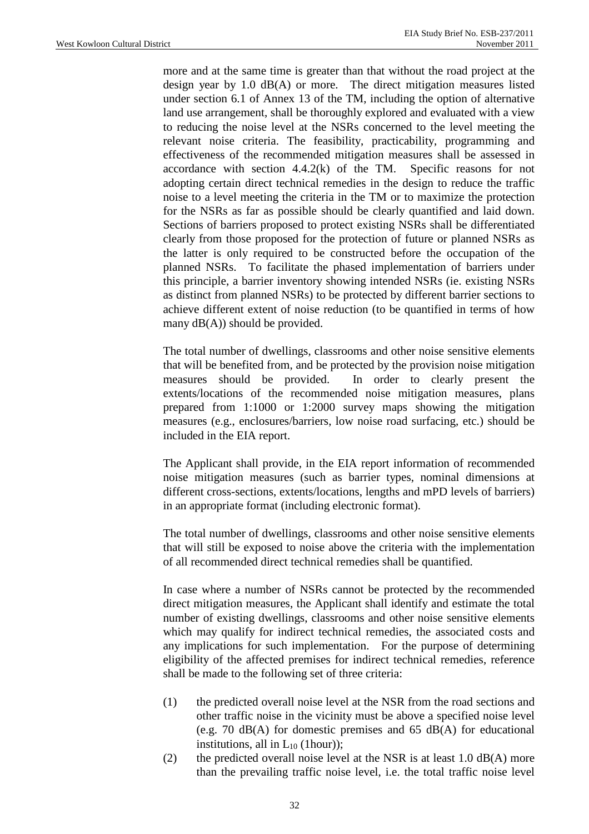more and at the same time is greater than that without the road project at the design year by 1.0 dB(A) or more. The direct mitigation measures listed under section 6.1 of Annex 13 of the TM, including the option of alternative land use arrangement, shall be thoroughly explored and evaluated with a view to reducing the noise level at the NSRs concerned to the level meeting the relevant noise criteria. The feasibility, practicability, programming and effectiveness of the recommended mitigation measures shall be assessed in accordance with section 4.4.2(k) of the TM. Specific reasons for not adopting certain direct technical remedies in the design to reduce the traffic noise to a level meeting the criteria in the TM or to maximize the protection for the NSRs as far as possible should be clearly quantified and laid down. Sections of barriers proposed to protect existing NSRs shall be differentiated clearly from those proposed for the protection of future or planned NSRs as the latter is only required to be constructed before the occupation of the planned NSRs. To facilitate the phased implementation of barriers under this principle, a barrier inventory showing intended NSRs (ie. existing NSRs as distinct from planned NSRs) to be protected by different barrier sections to achieve different extent of noise reduction (to be quantified in terms of how many  $dB(A)$ ) should be provided.

The total number of dwellings, classrooms and other noise sensitive elements that will be benefited from, and be protected by the provision noise mitigation measures should be provided. In order to clearly present the extents/locations of the recommended noise mitigation measures, plans prepared from 1:1000 or 1:2000 survey maps showing the mitigation measures (e.g., enclosures/barriers, low noise road surfacing, etc.) should be included in the EIA report.

The Applicant shall provide, in the EIA report information of recommended noise mitigation measures (such as barrier types, nominal dimensions at different cross-sections, extents/locations, lengths and mPD levels of barriers) in an appropriate format (including electronic format).

The total number of dwellings, classrooms and other noise sensitive elements that will still be exposed to noise above the criteria with the implementation of all recommended direct technical remedies shall be quantified.

In case where a number of NSRs cannot be protected by the recommended direct mitigation measures, the Applicant shall identify and estimate the total number of existing dwellings, classrooms and other noise sensitive elements which may qualify for indirect technical remedies, the associated costs and any implications for such implementation. For the purpose of determining eligibility of the affected premises for indirect technical remedies, reference shall be made to the following set of three criteria:

- (1) the predicted overall noise level at the NSR from the road sections and other traffic noise in the vicinity must be above a specified noise level (e.g. 70 dB(A) for domestic premises and 65 dB(A) for educational institutions, all in  $L_{10}$  (1hour));
- (2) the predicted overall noise level at the NSR is at least  $1.0$  dB(A) more than the prevailing traffic noise level, i.e. the total traffic noise level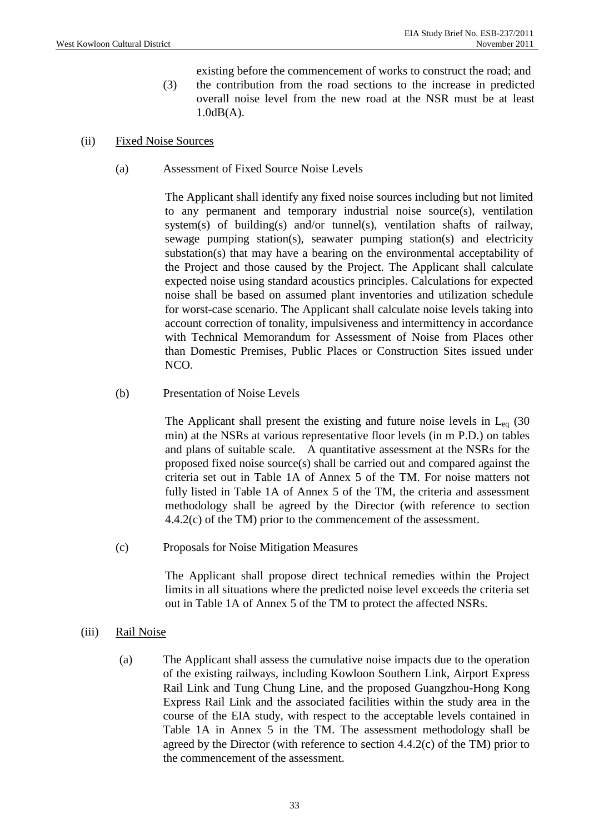- existing before the commencement of works to construct the road; and (3) the contribution from the road sections to the increase in predicted overall noise level from the new road at the NSR must be at least 1.0dB(A).
- (ii) Fixed Noise Sources
	- (a) Assessment of Fixed Source Noise Levels

The Applicant shall identify any fixed noise sources including but not limited to any permanent and temporary industrial noise source(s), ventilation system(s) of building(s) and/or tunnel(s), ventilation shafts of railway, sewage pumping station(s), seawater pumping station(s) and electricity substation(s) that may have a bearing on the environmental acceptability of the Project and those caused by the Project. The Applicant shall calculate expected noise using standard acoustics principles. Calculations for expected noise shall be based on assumed plant inventories and utilization schedule for worst-case scenario. The Applicant shall calculate noise levels taking into account correction of tonality, impulsiveness and intermittency in accordance with Technical Memorandum for Assessment of Noise from Places other than Domestic Premises, Public Places or Construction Sites issued under  $NCO<sub>1</sub>$ 

(b) Presentation of Noise Levels

The Applicant shall present the existing and future noise levels in  $L_{eq}$  (30) min) at the NSRs at various representative floor levels (in m P.D.) on tables and plans of suitable scale. A quantitative assessment at the NSRs for the proposed fixed noise source(s) shall be carried out and compared against the criteria set out in Table 1A of Annex 5 of the TM. For noise matters not fully listed in Table 1A of Annex 5 of the TM, the criteria and assessment methodology shall be agreed by the Director (with reference to section 4.4.2(c) of the TM) prior to the commencement of the assessment.

(c) Proposals for Noise Mitigation Measures

The Applicant shall propose direct technical remedies within the Project limits in all situations where the predicted noise level exceeds the criteria set out in Table 1A of Annex 5 of the TM to protect the affected NSRs.

- (iii) Rail Noise
	- (a) The Applicant shall assess the cumulative noise impacts due to the operation of the existing railways, including Kowloon Southern Link, Airport Express Rail Link and Tung Chung Line, and the proposed Guangzhou-Hong Kong Express Rail Link and the associated facilities within the study area in the course of the EIA study, with respect to the acceptable levels contained in Table 1A in Annex 5 in the TM. The assessment methodology shall be agreed by the Director (with reference to section 4.4.2(c) of the TM) prior to the commencement of the assessment.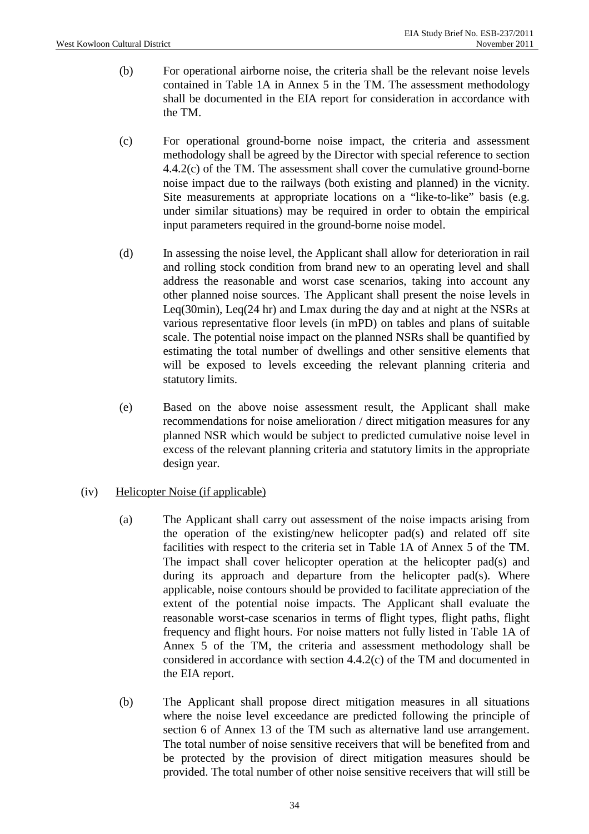- (b) For operational airborne noise, the criteria shall be the relevant noise levels contained in Table 1A in Annex 5 in the TM. The assessment methodology shall be documented in the EIA report for consideration in accordance with the TM.
- (c) For operational ground-borne noise impact, the criteria and assessment methodology shall be agreed by the Director with special reference to section 4.4.2(c) of the TM. The assessment shall cover the cumulative ground-borne noise impact due to the railways (both existing and planned) in the vicnity. Site measurements at appropriate locations on a "like-to-like" basis (e.g. under similar situations) may be required in order to obtain the empirical input parameters required in the ground-borne noise model.
- (d) In assessing the noise level, the Applicant shall allow for deterioration in rail and rolling stock condition from brand new to an operating level and shall address the reasonable and worst case scenarios, taking into account any other planned noise sources. The Applicant shall present the noise levels in Leq(30min), Leq(24 hr) and Lmax during the day and at night at the NSRs at various representative floor levels (in mPD) on tables and plans of suitable scale. The potential noise impact on the planned NSRs shall be quantified by estimating the total number of dwellings and other sensitive elements that will be exposed to levels exceeding the relevant planning criteria and statutory limits.
- (e) Based on the above noise assessment result, the Applicant shall make recommendations for noise amelioration / direct mitigation measures for any planned NSR which would be subject to predicted cumulative noise level in excess of the relevant planning criteria and statutory limits in the appropriate design year.

### (iv) Helicopter Noise (if applicable)

- (a) The Applicant shall carry out assessment of the noise impacts arising from the operation of the existing/new helicopter pad(s) and related off site facilities with respect to the criteria set in Table 1A of Annex 5 of the TM. The impact shall cover helicopter operation at the helicopter pad(s) and during its approach and departure from the helicopter pad(s). Where applicable, noise contours should be provided to facilitate appreciation of the extent of the potential noise impacts. The Applicant shall evaluate the reasonable worst-case scenarios in terms of flight types, flight paths, flight frequency and flight hours. For noise matters not fully listed in Table 1A of Annex 5 of the TM, the criteria and assessment methodology shall be considered in accordance with section 4.4.2(c) of the TM and documented in the EIA report.
- (b) The Applicant shall propose direct mitigation measures in all situations where the noise level exceedance are predicted following the principle of section 6 of Annex 13 of the TM such as alternative land use arrangement. The total number of noise sensitive receivers that will be benefited from and be protected by the provision of direct mitigation measures should be provided. The total number of other noise sensitive receivers that will still be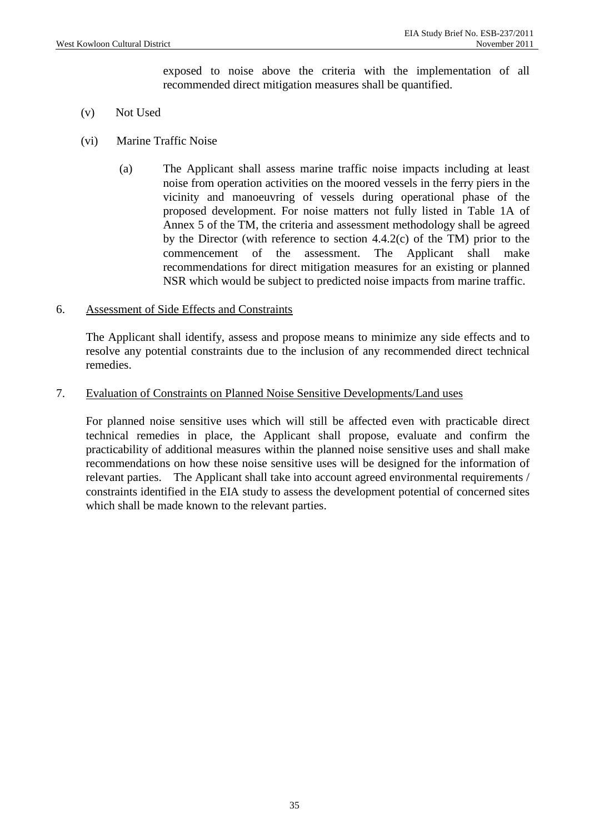exposed to noise above the criteria with the implementation of all recommended direct mitigation measures shall be quantified.

- (v) Not Used
- (vi) Marine Traffic Noise
	- (a) The Applicant shall assess marine traffic noise impacts including at least noise from operation activities on the moored vessels in the ferry piers in the vicinity and manoeuvring of vessels during operational phase of the proposed development. For noise matters not fully listed in Table 1A of Annex 5 of the TM, the criteria and assessment methodology shall be agreed by the Director (with reference to section 4.4.2(c) of the TM) prior to the commencement of the assessment. The Applicant shall make recommendations for direct mitigation measures for an existing or planned NSR which would be subject to predicted noise impacts from marine traffic.

#### 6. Assessment of Side Effects and Constraints

 The Applicant shall identify, assess and propose means to minimize any side effects and to resolve any potential constraints due to the inclusion of any recommended direct technical remedies.

#### 7. Evaluation of Constraints on Planned Noise Sensitive Developments/Land uses

 For planned noise sensitive uses which will still be affected even with practicable direct technical remedies in place, the Applicant shall propose, evaluate and confirm the practicability of additional measures within the planned noise sensitive uses and shall make recommendations on how these noise sensitive uses will be designed for the information of relevant parties. The Applicant shall take into account agreed environmental requirements / constraints identified in the EIA study to assess the development potential of concerned sites which shall be made known to the relevant parties.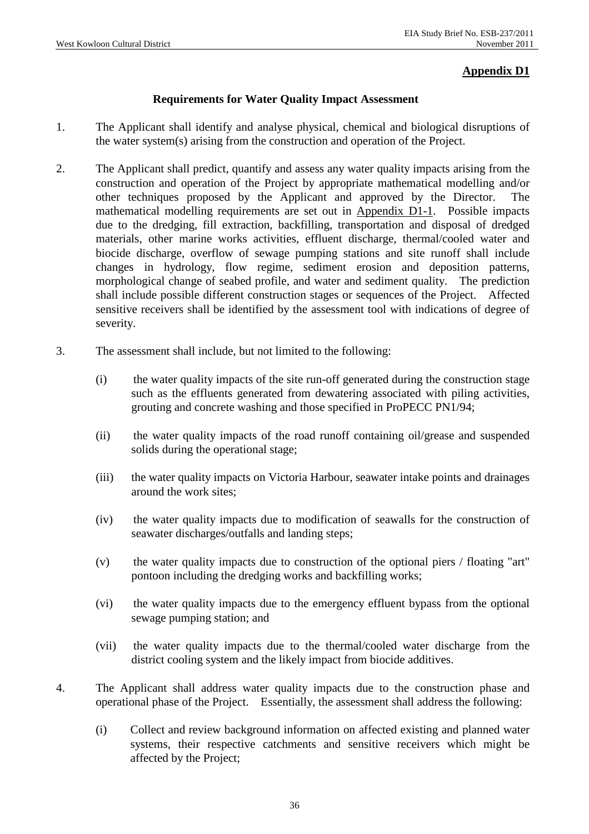## **Appendix D1**

## **Requirements for Water Quality Impact Assessment**

- 1. The Applicant shall identify and analyse physical, chemical and biological disruptions of the water system(s) arising from the construction and operation of the Project.
- 2. The Applicant shall predict, quantify and assess any water quality impacts arising from the construction and operation of the Project by appropriate mathematical modelling and/or other techniques proposed by the Applicant and approved by the Director. The mathematical modelling requirements are set out in Appendix D1-1. Possible impacts due to the dredging, fill extraction, backfilling, transportation and disposal of dredged materials, other marine works activities, effluent discharge, thermal/cooled water and biocide discharge, overflow of sewage pumping stations and site runoff shall include changes in hydrology, flow regime, sediment erosion and deposition patterns, morphological change of seabed profile, and water and sediment quality. The prediction shall include possible different construction stages or sequences of the Project. Affected sensitive receivers shall be identified by the assessment tool with indications of degree of severity.
- 3. The assessment shall include, but not limited to the following:
	- (i) the water quality impacts of the site run-off generated during the construction stage such as the effluents generated from dewatering associated with piling activities, grouting and concrete washing and those specified in ProPECC PN1/94;
	- (ii) the water quality impacts of the road runoff containing oil/grease and suspended solids during the operational stage;
	- (iii) the water quality impacts on Victoria Harbour, seawater intake points and drainages around the work sites;
	- (iv) the water quality impacts due to modification of seawalls for the construction of seawater discharges/outfalls and landing steps;
	- (v) the water quality impacts due to construction of the optional piers / floating "art" pontoon including the dredging works and backfilling works;
	- (vi) the water quality impacts due to the emergency effluent bypass from the optional sewage pumping station; and
	- (vii) the water quality impacts due to the thermal/cooled water discharge from the district cooling system and the likely impact from biocide additives.
- 4. The Applicant shall address water quality impacts due to the construction phase and operational phase of the Project. Essentially, the assessment shall address the following:
	- (i) Collect and review background information on affected existing and planned water systems, their respective catchments and sensitive receivers which might be affected by the Project;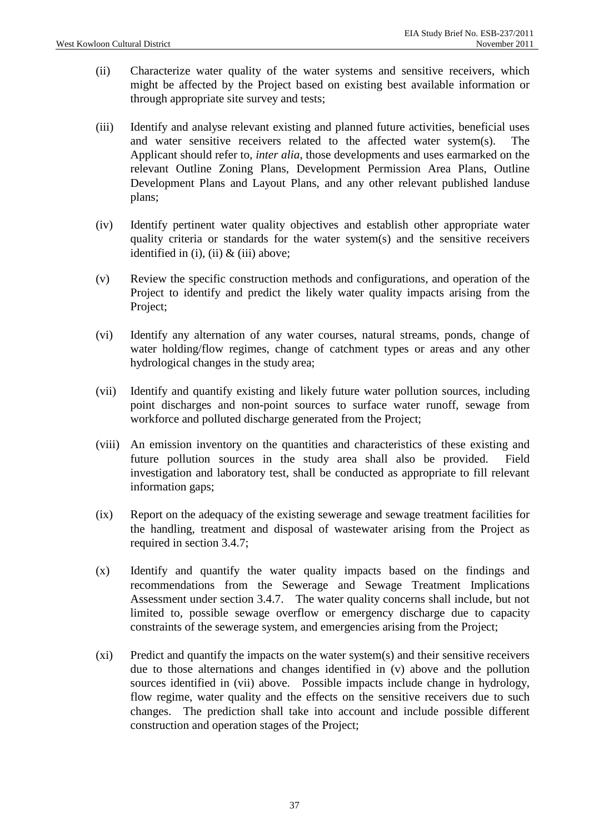- (ii) Characterize water quality of the water systems and sensitive receivers, which might be affected by the Project based on existing best available information or through appropriate site survey and tests;
- (iii) Identify and analyse relevant existing and planned future activities, beneficial uses and water sensitive receivers related to the affected water system(s). The Applicant should refer to, *inter alia*, those developments and uses earmarked on the relevant Outline Zoning Plans, Development Permission Area Plans, Outline Development Plans and Layout Plans, and any other relevant published landuse plans;
- (iv) Identify pertinent water quality objectives and establish other appropriate water quality criteria or standards for the water system(s) and the sensitive receivers identified in (i), (ii)  $\&$  (iii) above;
- (v) Review the specific construction methods and configurations, and operation of the Project to identify and predict the likely water quality impacts arising from the Project;
- (vi) Identify any alternation of any water courses, natural streams, ponds, change of water holding/flow regimes, change of catchment types or areas and any other hydrological changes in the study area;
- (vii) Identify and quantify existing and likely future water pollution sources, including point discharges and non-point sources to surface water runoff, sewage from workforce and polluted discharge generated from the Project;
- (viii) An emission inventory on the quantities and characteristics of these existing and future pollution sources in the study area shall also be provided. Field investigation and laboratory test, shall be conducted as appropriate to fill relevant information gaps;
- (ix) Report on the adequacy of the existing sewerage and sewage treatment facilities for the handling, treatment and disposal of wastewater arising from the Project as required in section 3.4.7;
- (x) Identify and quantify the water quality impacts based on the findings and recommendations from the Sewerage and Sewage Treatment Implications Assessment under section 3.4.7. The water quality concerns shall include, but not limited to, possible sewage overflow or emergency discharge due to capacity constraints of the sewerage system, and emergencies arising from the Project;
- (xi) Predict and quantify the impacts on the water system(s) and their sensitive receivers due to those alternations and changes identified in (v) above and the pollution sources identified in (vii) above. Possible impacts include change in hydrology, flow regime, water quality and the effects on the sensitive receivers due to such changes. The prediction shall take into account and include possible different construction and operation stages of the Project;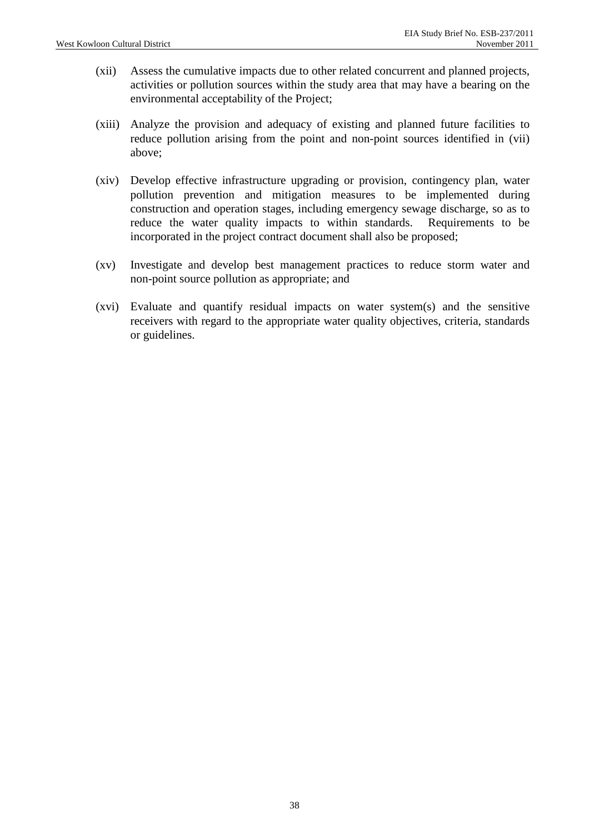- (xii) Assess the cumulative impacts due to other related concurrent and planned projects, activities or pollution sources within the study area that may have a bearing on the environmental acceptability of the Project;
- (xiii) Analyze the provision and adequacy of existing and planned future facilities to reduce pollution arising from the point and non-point sources identified in (vii) above;
- (xiv) Develop effective infrastructure upgrading or provision, contingency plan, water pollution prevention and mitigation measures to be implemented during construction and operation stages, including emergency sewage discharge, so as to reduce the water quality impacts to within standards. Requirements to be incorporated in the project contract document shall also be proposed;
- (xv) Investigate and develop best management practices to reduce storm water and non-point source pollution as appropriate; and
- (xvi) Evaluate and quantify residual impacts on water system(s) and the sensitive receivers with regard to the appropriate water quality objectives, criteria, standards or guidelines.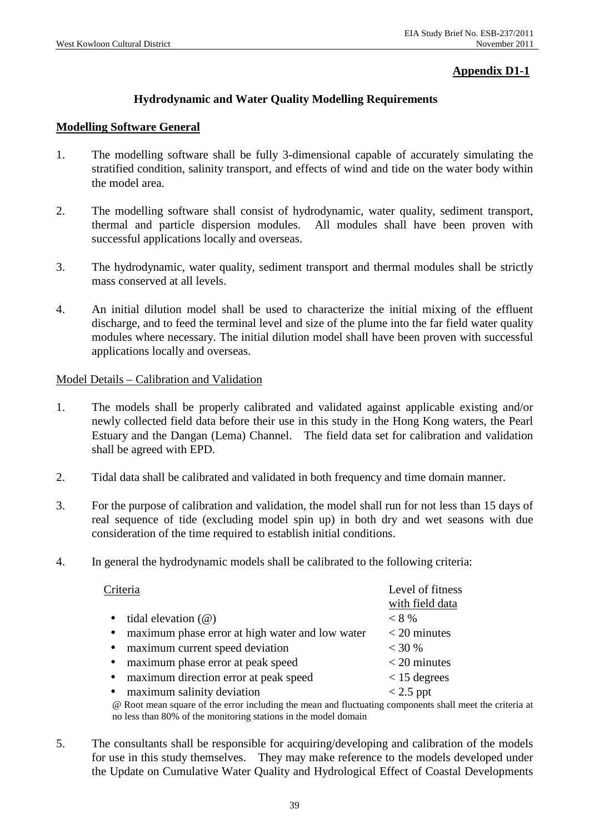## **Appendix D1-1**

### **Hydrodynamic and Water Quality Modelling Requirements**

#### **Modelling Software General**

- 1. The modelling software shall be fully 3-dimensional capable of accurately simulating the stratified condition, salinity transport, and effects of wind and tide on the water body within the model area.
- 2. The modelling software shall consist of hydrodynamic, water quality, sediment transport, thermal and particle dispersion modules. All modules shall have been proven with successful applications locally and overseas.
- 3. The hydrodynamic, water quality, sediment transport and thermal modules shall be strictly mass conserved at all levels.
- 4. An initial dilution model shall be used to characterize the initial mixing of the effluent discharge, and to feed the terminal level and size of the plume into the far field water quality modules where necessary. The initial dilution model shall have been proven with successful applications locally and overseas.

#### Model Details – Calibration and Validation

- 1. The models shall be properly calibrated and validated against applicable existing and/or newly collected field data before their use in this study in the Hong Kong waters, the Pearl Estuary and the Dangan (Lema) Channel. The field data set for calibration and validation shall be agreed with EPD.
- 2. Tidal data shall be calibrated and validated in both frequency and time domain manner.
- 3. For the purpose of calibration and validation, the model shall run for not less than 15 days of real sequence of tide (excluding model spin up) in both dry and wet seasons with due consideration of the time required to establish initial conditions.
- 4. In general the hydrodynamic models shall be calibrated to the following criteria:

|           | Criteria                                                                               | Level of fitness<br>with field data |  |  |
|-----------|----------------------------------------------------------------------------------------|-------------------------------------|--|--|
| $\bullet$ | tidal elevation $(\omega)$                                                             | $< 8\%$                             |  |  |
| $\bullet$ | maximum phase error at high water and low water                                        | $<$ 20 minutes                      |  |  |
| $\bullet$ | maximum current speed deviation                                                        | $<$ 30 %                            |  |  |
| $\bullet$ | maximum phase error at peak speed                                                      | $<$ 20 minutes                      |  |  |
| $\bullet$ | maximum direction error at peak speed                                                  | $<$ 15 degrees                      |  |  |
| $\bullet$ | maximum salinity deviation                                                             | $< 2.5$ ppt                         |  |  |
|           | @ Root mean square of the error including the mean and fluctuating components shall me |                                     |  |  |

@ Root mean square of the error including the mean and fluctuating components shall meet the criteria at no less than 80% of the monitoring stations in the model domain

5. The consultants shall be responsible for acquiring/developing and calibration of the models for use in this study themselves. They may make reference to the models developed under the Update on Cumulative Water Quality and Hydrological Effect of Coastal Developments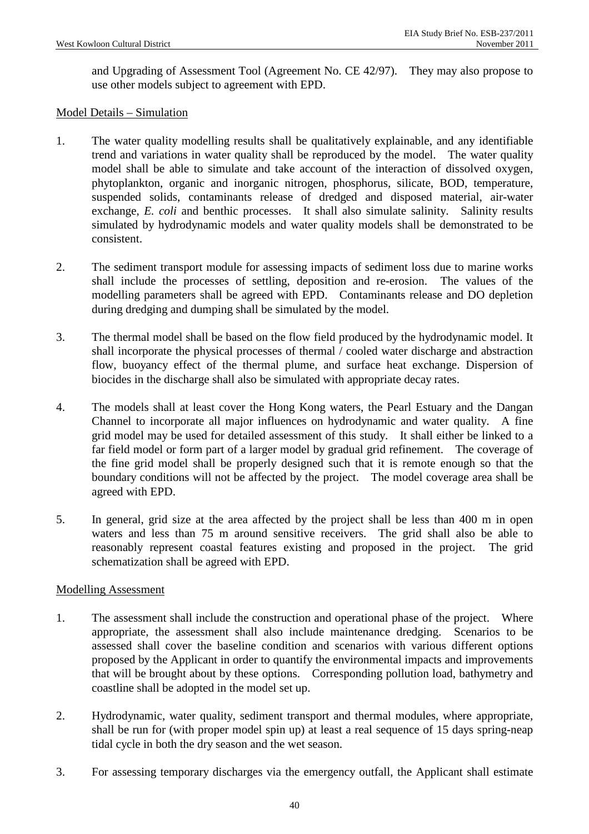and Upgrading of Assessment Tool (Agreement No. CE 42/97). They may also propose to use other models subject to agreement with EPD.

#### Model Details – Simulation

- 1. The water quality modelling results shall be qualitatively explainable, and any identifiable trend and variations in water quality shall be reproduced by the model. The water quality model shall be able to simulate and take account of the interaction of dissolved oxygen, phytoplankton, organic and inorganic nitrogen, phosphorus, silicate, BOD, temperature, suspended solids, contaminants release of dredged and disposed material, air-water exchange, *E. coli* and benthic processes. It shall also simulate salinity. Salinity results simulated by hydrodynamic models and water quality models shall be demonstrated to be consistent.
- 2. The sediment transport module for assessing impacts of sediment loss due to marine works shall include the processes of settling, deposition and re-erosion. The values of the modelling parameters shall be agreed with EPD. Contaminants release and DO depletion during dredging and dumping shall be simulated by the model.
- 3. The thermal model shall be based on the flow field produced by the hydrodynamic model. It shall incorporate the physical processes of thermal / cooled water discharge and abstraction flow, buoyancy effect of the thermal plume, and surface heat exchange. Dispersion of biocides in the discharge shall also be simulated with appropriate decay rates.
- 4. The models shall at least cover the Hong Kong waters, the Pearl Estuary and the Dangan Channel to incorporate all major influences on hydrodynamic and water quality. A fine grid model may be used for detailed assessment of this study. It shall either be linked to a far field model or form part of a larger model by gradual grid refinement. The coverage of the fine grid model shall be properly designed such that it is remote enough so that the boundary conditions will not be affected by the project. The model coverage area shall be agreed with EPD.
- 5. In general, grid size at the area affected by the project shall be less than 400 m in open waters and less than 75 m around sensitive receivers. The grid shall also be able to reasonably represent coastal features existing and proposed in the project. The grid schematization shall be agreed with EPD.

#### Modelling Assessment

- 1. The assessment shall include the construction and operational phase of the project. Where appropriate, the assessment shall also include maintenance dredging. Scenarios to be assessed shall cover the baseline condition and scenarios with various different options proposed by the Applicant in order to quantify the environmental impacts and improvements that will be brought about by these options. Corresponding pollution load, bathymetry and coastline shall be adopted in the model set up.
- 2. Hydrodynamic, water quality, sediment transport and thermal modules, where appropriate, shall be run for (with proper model spin up) at least a real sequence of 15 days spring-neap tidal cycle in both the dry season and the wet season.
- 3. For assessing temporary discharges via the emergency outfall, the Applicant shall estimate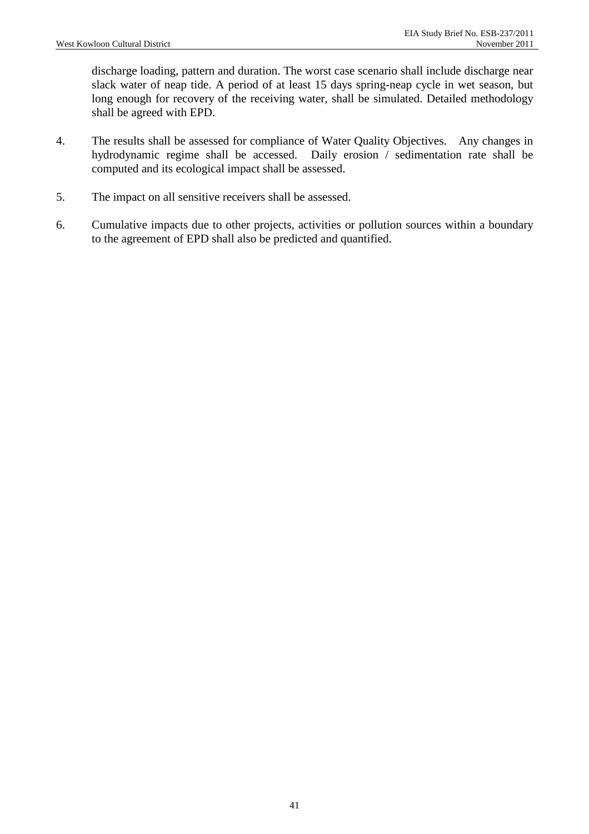discharge loading, pattern and duration. The worst case scenario shall include discharge near slack water of neap tide. A period of at least 15 days spring-neap cycle in wet season, but long enough for recovery of the receiving water, shall be simulated. Detailed methodology shall be agreed with EPD.

- 4. The results shall be assessed for compliance of Water Quality Objectives. Any changes in hydrodynamic regime shall be accessed. Daily erosion / sedimentation rate shall be computed and its ecological impact shall be assessed.
- 5. The impact on all sensitive receivers shall be assessed.
- 6. Cumulative impacts due to other projects, activities or pollution sources within a boundary to the agreement of EPD shall also be predicted and quantified.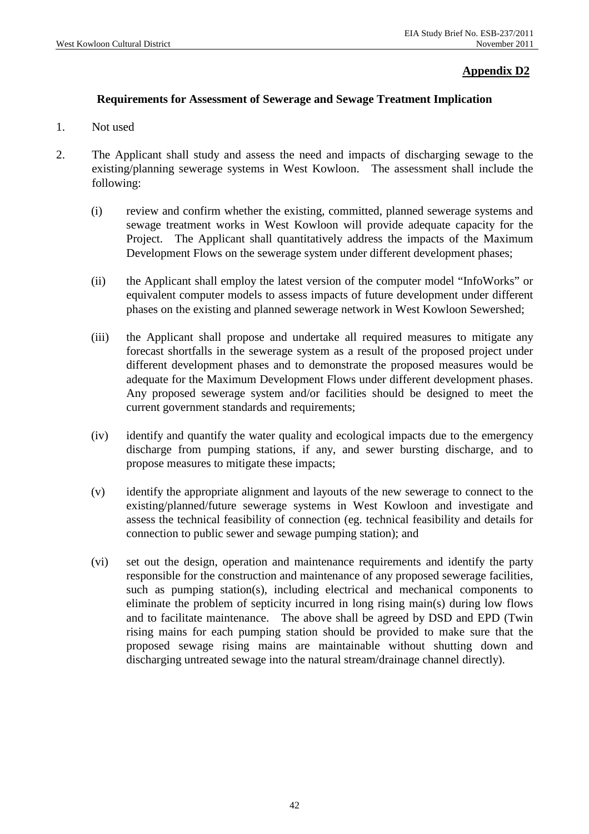### **Appendix D2**

### **Requirements for Assessment of Sewerage and Sewage Treatment Implication**

- 1. Not used
- 2. The Applicant shall study and assess the need and impacts of discharging sewage to the existing/planning sewerage systems in West Kowloon. The assessment shall include the following:
	- (i) review and confirm whether the existing, committed, planned sewerage systems and sewage treatment works in West Kowloon will provide adequate capacity for the Project. The Applicant shall quantitatively address the impacts of the Maximum Development Flows on the sewerage system under different development phases;
	- (ii) the Applicant shall employ the latest version of the computer model "InfoWorks" or equivalent computer models to assess impacts of future development under different phases on the existing and planned sewerage network in West Kowloon Sewershed;
	- (iii) the Applicant shall propose and undertake all required measures to mitigate any forecast shortfalls in the sewerage system as a result of the proposed project under different development phases and to demonstrate the proposed measures would be adequate for the Maximum Development Flows under different development phases. Any proposed sewerage system and/or facilities should be designed to meet the current government standards and requirements;
	- (iv) identify and quantify the water quality and ecological impacts due to the emergency discharge from pumping stations, if any, and sewer bursting discharge, and to propose measures to mitigate these impacts;
	- (v) identify the appropriate alignment and layouts of the new sewerage to connect to the existing/planned/future sewerage systems in West Kowloon and investigate and assess the technical feasibility of connection (eg. technical feasibility and details for connection to public sewer and sewage pumping station); and
	- (vi) set out the design, operation and maintenance requirements and identify the party responsible for the construction and maintenance of any proposed sewerage facilities, such as pumping station(s), including electrical and mechanical components to eliminate the problem of septicity incurred in long rising main(s) during low flows and to facilitate maintenance. The above shall be agreed by DSD and EPD (Twin rising mains for each pumping station should be provided to make sure that the proposed sewage rising mains are maintainable without shutting down and discharging untreated sewage into the natural stream/drainage channel directly).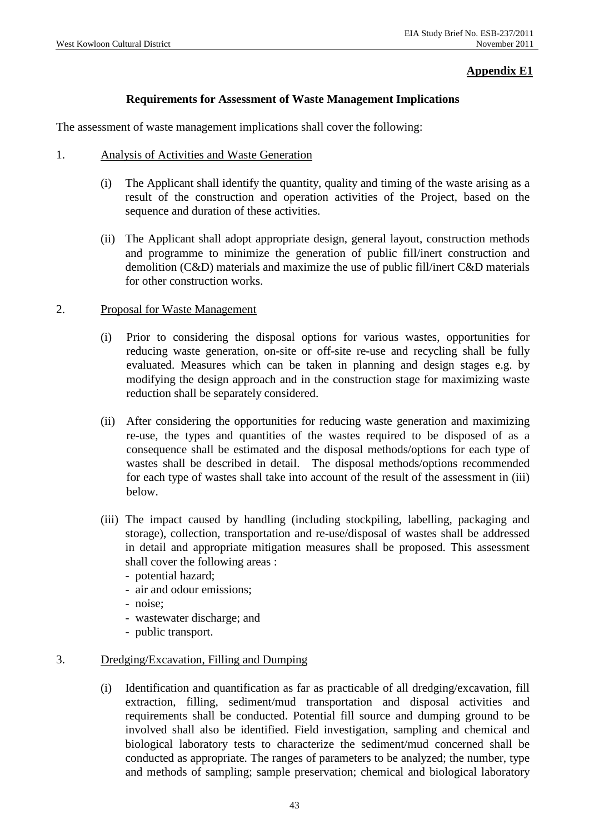### **Appendix E1**

### **Requirements for Assessment of Waste Management Implications**

The assessment of waste management implications shall cover the following:

- 1. Analysis of Activities and Waste Generation
	- (i) The Applicant shall identify the quantity, quality and timing of the waste arising as a result of the construction and operation activities of the Project, based on the sequence and duration of these activities.
	- (ii) The Applicant shall adopt appropriate design, general layout, construction methods and programme to minimize the generation of public fill/inert construction and demolition (C&D) materials and maximize the use of public fill/inert C&D materials for other construction works.

#### 2. Proposal for Waste Management

- (i) Prior to considering the disposal options for various wastes, opportunities for reducing waste generation, on-site or off-site re-use and recycling shall be fully evaluated. Measures which can be taken in planning and design stages e.g. by modifying the design approach and in the construction stage for maximizing waste reduction shall be separately considered.
- (ii) After considering the opportunities for reducing waste generation and maximizing re-use, the types and quantities of the wastes required to be disposed of as a consequence shall be estimated and the disposal methods/options for each type of wastes shall be described in detail. The disposal methods/options recommended for each type of wastes shall take into account of the result of the assessment in (iii) below.
- (iii) The impact caused by handling (including stockpiling, labelling, packaging and storage), collection, transportation and re-use/disposal of wastes shall be addressed in detail and appropriate mitigation measures shall be proposed. This assessment shall cover the following areas :
	- potential hazard;
	- air and odour emissions;
	- noise;
	- wastewater discharge; and
	- public transport.

### 3. Dredging/Excavation, Filling and Dumping

(i) Identification and quantification as far as practicable of all dredging/excavation, fill extraction, filling, sediment/mud transportation and disposal activities and requirements shall be conducted. Potential fill source and dumping ground to be involved shall also be identified. Field investigation, sampling and chemical and biological laboratory tests to characterize the sediment/mud concerned shall be conducted as appropriate. The ranges of parameters to be analyzed; the number, type and methods of sampling; sample preservation; chemical and biological laboratory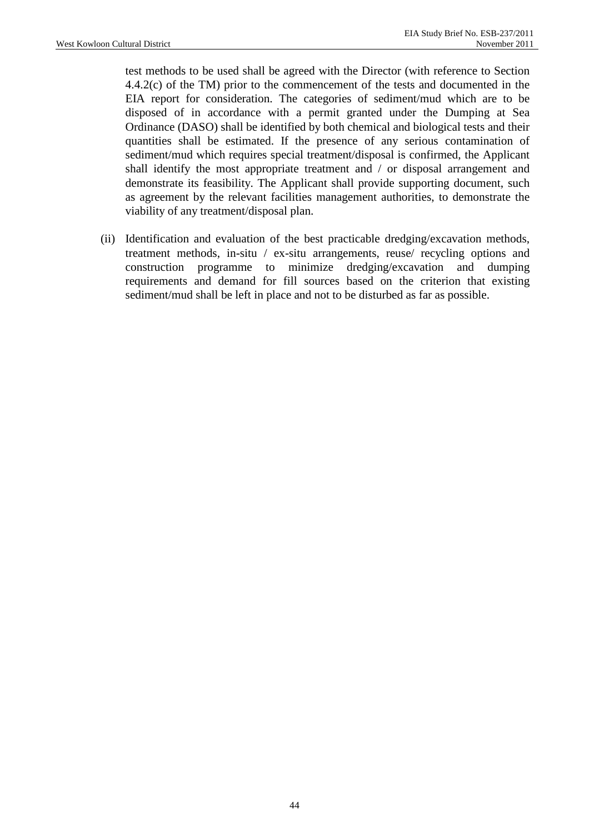test methods to be used shall be agreed with the Director (with reference to Section 4.4.2(c) of the TM) prior to the commencement of the tests and documented in the EIA report for consideration. The categories of sediment/mud which are to be disposed of in accordance with a permit granted under the Dumping at Sea Ordinance (DASO) shall be identified by both chemical and biological tests and their quantities shall be estimated. If the presence of any serious contamination of sediment/mud which requires special treatment/disposal is confirmed, the Applicant shall identify the most appropriate treatment and / or disposal arrangement and demonstrate its feasibility. The Applicant shall provide supporting document, such as agreement by the relevant facilities management authorities, to demonstrate the viability of any treatment/disposal plan.

(ii) Identification and evaluation of the best practicable dredging/excavation methods, treatment methods, in-situ / ex-situ arrangements, reuse/ recycling options and construction programme to minimize dredging/excavation and dumping requirements and demand for fill sources based on the criterion that existing sediment/mud shall be left in place and not to be disturbed as far as possible.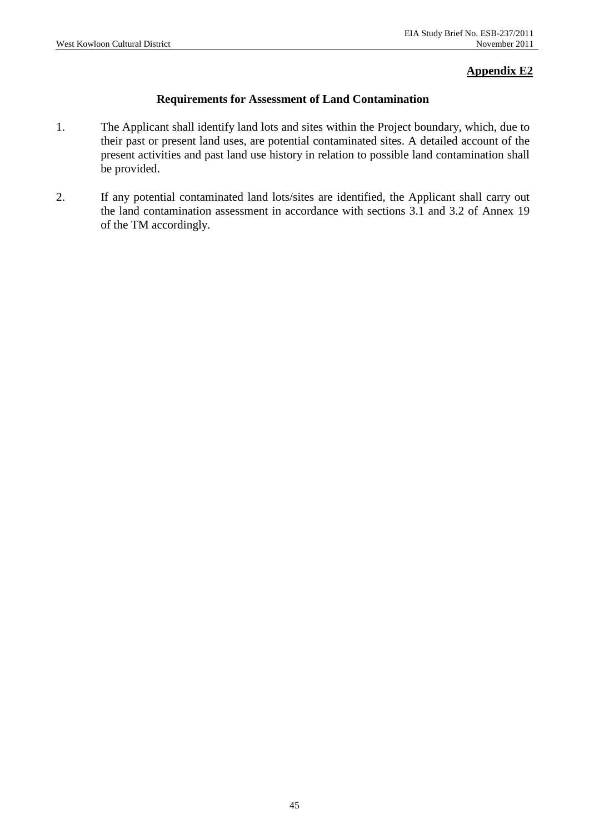### **Appendix E2**

### **Requirements for Assessment of Land Contamination**

- 1. The Applicant shall identify land lots and sites within the Project boundary, which, due to their past or present land uses, are potential contaminated sites. A detailed account of the present activities and past land use history in relation to possible land contamination shall be provided.
- 2. If any potential contaminated land lots/sites are identified, the Applicant shall carry out the land contamination assessment in accordance with sections 3.1 and 3.2 of Annex 19 of the TM accordingly.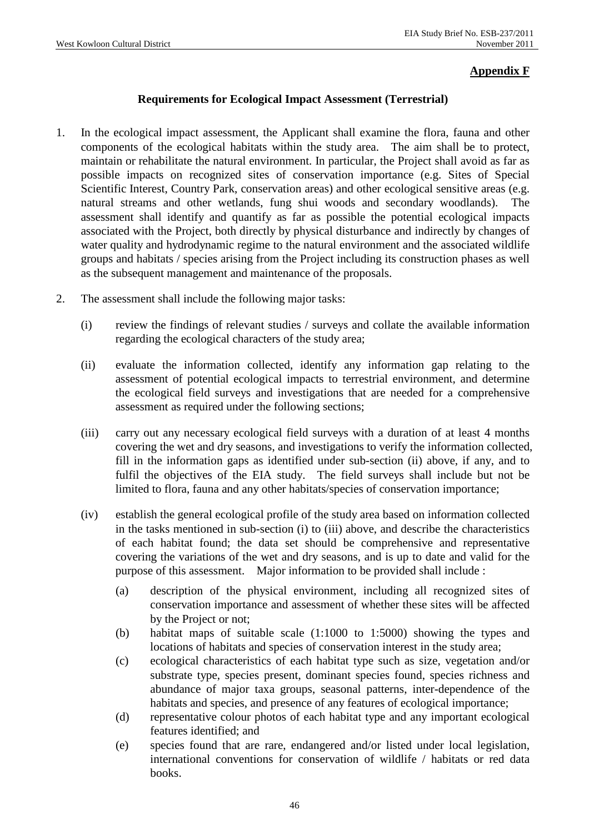### **Appendix F**

### **Requirements for Ecological Impact Assessment (Terrestrial)**

- 1. In the ecological impact assessment, the Applicant shall examine the flora, fauna and other components of the ecological habitats within the study area. The aim shall be to protect, maintain or rehabilitate the natural environment. In particular, the Project shall avoid as far as possible impacts on recognized sites of conservation importance (e.g. Sites of Special Scientific Interest, Country Park, conservation areas) and other ecological sensitive areas (e.g. natural streams and other wetlands, fung shui woods and secondary woodlands). assessment shall identify and quantify as far as possible the potential ecological impacts associated with the Project, both directly by physical disturbance and indirectly by changes of water quality and hydrodynamic regime to the natural environment and the associated wildlife groups and habitats / species arising from the Project including its construction phases as well as the subsequent management and maintenance of the proposals.
- 2. The assessment shall include the following major tasks:
	- (i) review the findings of relevant studies / surveys and collate the available information regarding the ecological characters of the study area;
	- (ii) evaluate the information collected, identify any information gap relating to the assessment of potential ecological impacts to terrestrial environment, and determine the ecological field surveys and investigations that are needed for a comprehensive assessment as required under the following sections;
	- (iii) carry out any necessary ecological field surveys with a duration of at least 4 months covering the wet and dry seasons, and investigations to verify the information collected, fill in the information gaps as identified under sub-section (ii) above, if any, and to fulfil the objectives of the EIA study. The field surveys shall include but not be limited to flora, fauna and any other habitats/species of conservation importance;
	- (iv) establish the general ecological profile of the study area based on information collected in the tasks mentioned in sub-section (i) to (iii) above, and describe the characteristics of each habitat found; the data set should be comprehensive and representative covering the variations of the wet and dry seasons, and is up to date and valid for the purpose of this assessment. Major information to be provided shall include :
		- (a) description of the physical environment, including all recognized sites of conservation importance and assessment of whether these sites will be affected by the Project or not;
		- (b) habitat maps of suitable scale (1:1000 to 1:5000) showing the types and locations of habitats and species of conservation interest in the study area;
		- (c) ecological characteristics of each habitat type such as size, vegetation and/or substrate type, species present, dominant species found, species richness and abundance of major taxa groups, seasonal patterns, inter-dependence of the habitats and species, and presence of any features of ecological importance;
		- (d) representative colour photos of each habitat type and any important ecological features identified; and
		- (e) species found that are rare, endangered and/or listed under local legislation, international conventions for conservation of wildlife / habitats or red data books.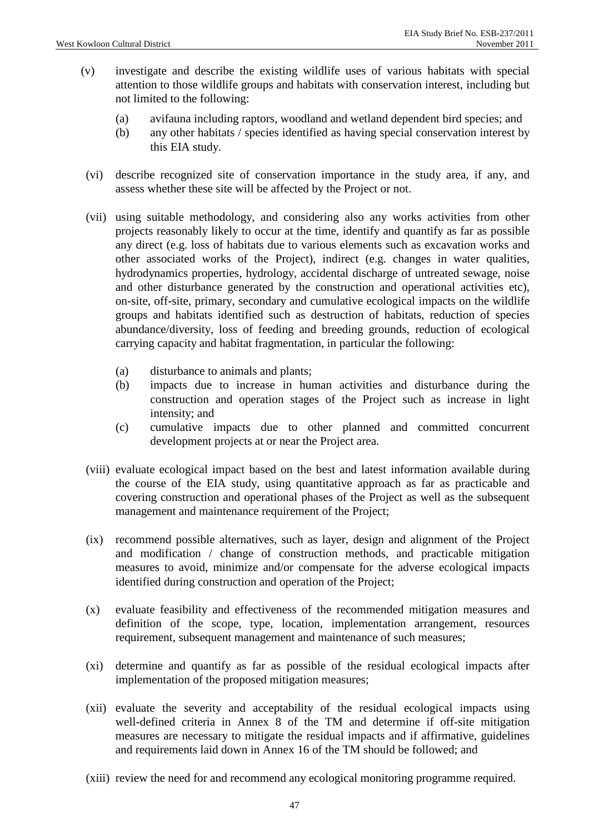- (v) investigate and describe the existing wildlife uses of various habitats with special attention to those wildlife groups and habitats with conservation interest, including but not limited to the following:
	- (a) avifauna including raptors, woodland and wetland dependent bird species; and
	- (b) any other habitats / species identified as having special conservation interest by this EIA study.
- (vi) describe recognized site of conservation importance in the study area, if any, and assess whether these site will be affected by the Project or not.
- (vii) using suitable methodology, and considering also any works activities from other projects reasonably likely to occur at the time, identify and quantify as far as possible any direct (e.g. loss of habitats due to various elements such as excavation works and other associated works of the Project), indirect (e.g. changes in water qualities, hydrodynamics properties, hydrology, accidental discharge of untreated sewage, noise and other disturbance generated by the construction and operational activities etc), on-site, off-site, primary, secondary and cumulative ecological impacts on the wildlife groups and habitats identified such as destruction of habitats, reduction of species abundance/diversity, loss of feeding and breeding grounds, reduction of ecological carrying capacity and habitat fragmentation, in particular the following:
	- (a) disturbance to animals and plants;
	- (b) impacts due to increase in human activities and disturbance during the construction and operation stages of the Project such as increase in light intensity; and
	- (c) cumulative impacts due to other planned and committed concurrent development projects at or near the Project area.
- (viii) evaluate ecological impact based on the best and latest information available during the course of the EIA study, using quantitative approach as far as practicable and covering construction and operational phases of the Project as well as the subsequent management and maintenance requirement of the Project;
- (ix) recommend possible alternatives, such as layer, design and alignment of the Project and modification / change of construction methods, and practicable mitigation measures to avoid, minimize and/or compensate for the adverse ecological impacts identified during construction and operation of the Project;
- (x) evaluate feasibility and effectiveness of the recommended mitigation measures and definition of the scope, type, location, implementation arrangement, resources requirement, subsequent management and maintenance of such measures;
- (xi) determine and quantify as far as possible of the residual ecological impacts after implementation of the proposed mitigation measures;
- (xii) evaluate the severity and acceptability of the residual ecological impacts using well-defined criteria in Annex 8 of the TM and determine if off-site mitigation measures are necessary to mitigate the residual impacts and if affirmative, guidelines and requirements laid down in Annex 16 of the TM should be followed; and
- (xiii) review the need for and recommend any ecological monitoring programme required.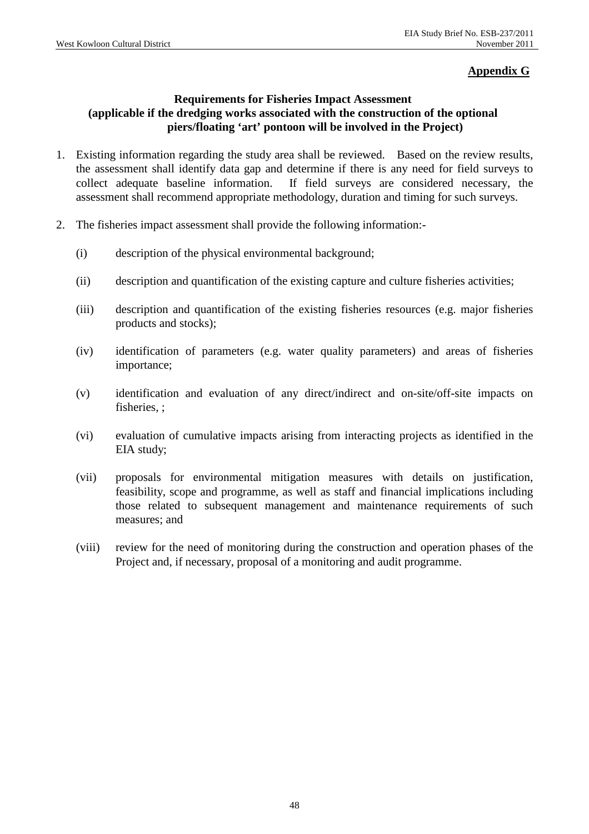## **Appendix G**

### **Requirements for Fisheries Impact Assessment (applicable if the dredging works associated with the construction of the optional piers/floating 'art' pontoon will be involved in the Project)**

- 1. Existing information regarding the study area shall be reviewed. Based on the review results, the assessment shall identify data gap and determine if there is any need for field surveys to collect adequate baseline information. If field surveys are considered necessary, the assessment shall recommend appropriate methodology, duration and timing for such surveys.
- 2. The fisheries impact assessment shall provide the following information:-
	- (i) description of the physical environmental background;
	- (ii) description and quantification of the existing capture and culture fisheries activities;
	- (iii) description and quantification of the existing fisheries resources (e.g. major fisheries products and stocks);
	- (iv) identification of parameters (e.g. water quality parameters) and areas of fisheries importance;
	- (v) identification and evaluation of any direct/indirect and on-site/off-site impacts on fisheries.:
	- (vi) evaluation of cumulative impacts arising from interacting projects as identified in the EIA study;
	- (vii) proposals for environmental mitigation measures with details on justification, feasibility, scope and programme, as well as staff and financial implications including those related to subsequent management and maintenance requirements of such measures; and
	- (viii) review for the need of monitoring during the construction and operation phases of the Project and, if necessary, proposal of a monitoring and audit programme.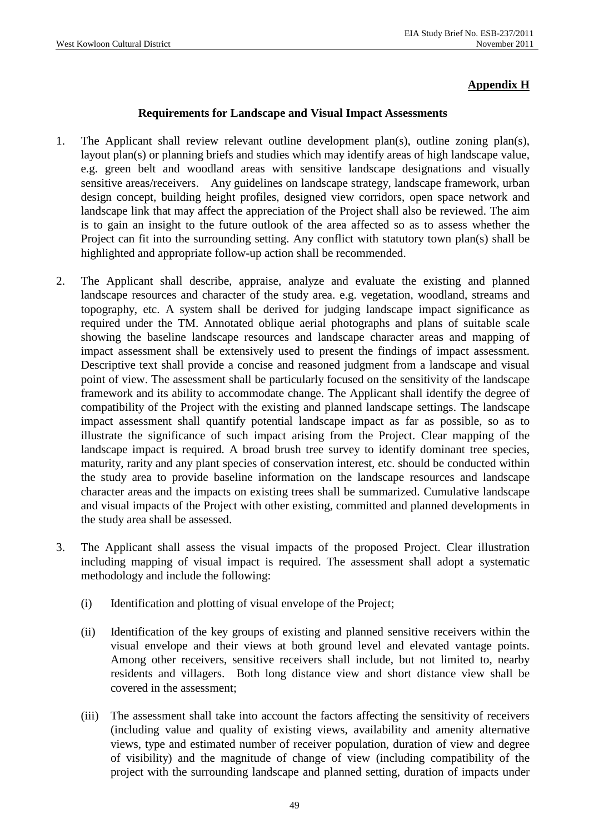## **Appendix H**

#### **Requirements for Landscape and Visual Impact Assessments**

- 1. The Applicant shall review relevant outline development plan(s), outline zoning plan(s), layout plan(s) or planning briefs and studies which may identify areas of high landscape value, e.g. green belt and woodland areas with sensitive landscape designations and visually sensitive areas/receivers. Any guidelines on landscape strategy, landscape framework, urban design concept, building height profiles, designed view corridors, open space network and landscape link that may affect the appreciation of the Project shall also be reviewed. The aim is to gain an insight to the future outlook of the area affected so as to assess whether the Project can fit into the surrounding setting. Any conflict with statutory town plan(s) shall be highlighted and appropriate follow-up action shall be recommended.
- 2. The Applicant shall describe, appraise, analyze and evaluate the existing and planned landscape resources and character of the study area. e.g. vegetation, woodland, streams and topography, etc. A system shall be derived for judging landscape impact significance as required under the TM. Annotated oblique aerial photographs and plans of suitable scale showing the baseline landscape resources and landscape character areas and mapping of impact assessment shall be extensively used to present the findings of impact assessment. Descriptive text shall provide a concise and reasoned judgment from a landscape and visual point of view. The assessment shall be particularly focused on the sensitivity of the landscape framework and its ability to accommodate change. The Applicant shall identify the degree of compatibility of the Project with the existing and planned landscape settings. The landscape impact assessment shall quantify potential landscape impact as far as possible, so as to illustrate the significance of such impact arising from the Project. Clear mapping of the landscape impact is required. A broad brush tree survey to identify dominant tree species, maturity, rarity and any plant species of conservation interest, etc. should be conducted within the study area to provide baseline information on the landscape resources and landscape character areas and the impacts on existing trees shall be summarized. Cumulative landscape and visual impacts of the Project with other existing, committed and planned developments in the study area shall be assessed.
- 3. The Applicant shall assess the visual impacts of the proposed Project. Clear illustration including mapping of visual impact is required. The assessment shall adopt a systematic methodology and include the following:
	- (i) Identification and plotting of visual envelope of the Project;
	- (ii) Identification of the key groups of existing and planned sensitive receivers within the visual envelope and their views at both ground level and elevated vantage points. Among other receivers, sensitive receivers shall include, but not limited to, nearby residents and villagers. Both long distance view and short distance view shall be covered in the assessment;
	- (iii) The assessment shall take into account the factors affecting the sensitivity of receivers (including value and quality of existing views, availability and amenity alternative views, type and estimated number of receiver population, duration of view and degree of visibility) and the magnitude of change of view (including compatibility of the project with the surrounding landscape and planned setting, duration of impacts under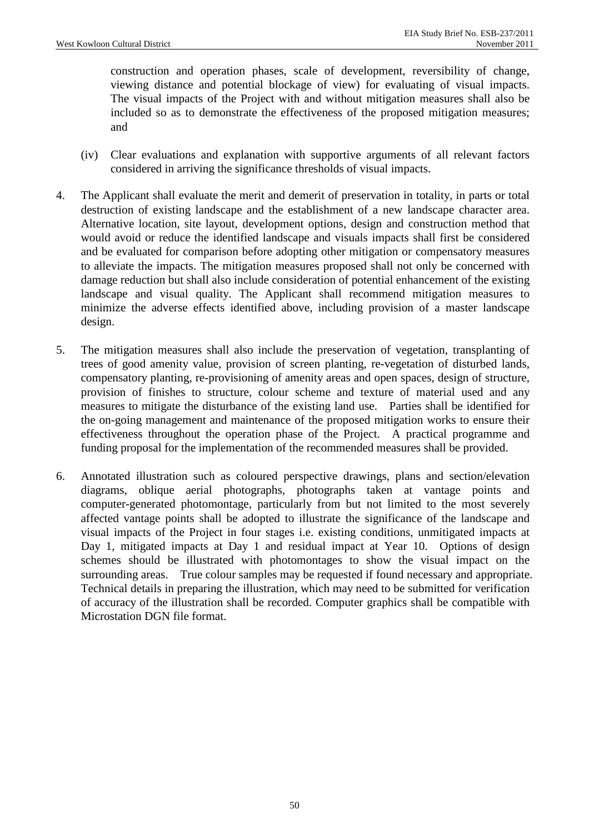construction and operation phases, scale of development, reversibility of change, viewing distance and potential blockage of view) for evaluating of visual impacts. The visual impacts of the Project with and without mitigation measures shall also be included so as to demonstrate the effectiveness of the proposed mitigation measures; and

- (iv) Clear evaluations and explanation with supportive arguments of all relevant factors considered in arriving the significance thresholds of visual impacts.
- 4. The Applicant shall evaluate the merit and demerit of preservation in totality, in parts or total destruction of existing landscape and the establishment of a new landscape character area. Alternative location, site layout, development options, design and construction method that would avoid or reduce the identified landscape and visuals impacts shall first be considered and be evaluated for comparison before adopting other mitigation or compensatory measures to alleviate the impacts. The mitigation measures proposed shall not only be concerned with damage reduction but shall also include consideration of potential enhancement of the existing landscape and visual quality. The Applicant shall recommend mitigation measures to minimize the adverse effects identified above, including provision of a master landscape design.
- 5. The mitigation measures shall also include the preservation of vegetation, transplanting of trees of good amenity value, provision of screen planting, re-vegetation of disturbed lands, compensatory planting, re-provisioning of amenity areas and open spaces, design of structure, provision of finishes to structure, colour scheme and texture of material used and any measures to mitigate the disturbance of the existing land use. Parties shall be identified for the on-going management and maintenance of the proposed mitigation works to ensure their effectiveness throughout the operation phase of the Project. A practical programme and funding proposal for the implementation of the recommended measures shall be provided.
- 6. Annotated illustration such as coloured perspective drawings, plans and section/elevation diagrams, oblique aerial photographs, photographs taken at vantage points and computer-generated photomontage, particularly from but not limited to the most severely affected vantage points shall be adopted to illustrate the significance of the landscape and visual impacts of the Project in four stages i.e. existing conditions, unmitigated impacts at Day 1, mitigated impacts at Day 1 and residual impact at Year 10. Options of design schemes should be illustrated with photomontages to show the visual impact on the surrounding areas. True colour samples may be requested if found necessary and appropriate. Technical details in preparing the illustration, which may need to be submitted for verification of accuracy of the illustration shall be recorded. Computer graphics shall be compatible with Microstation DGN file format.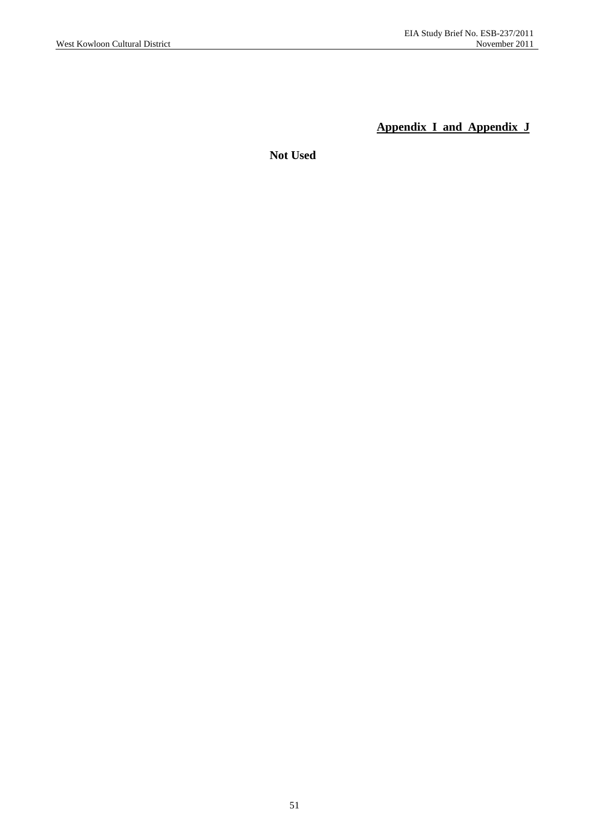**Appendix I and Appendix J**

**Not Used**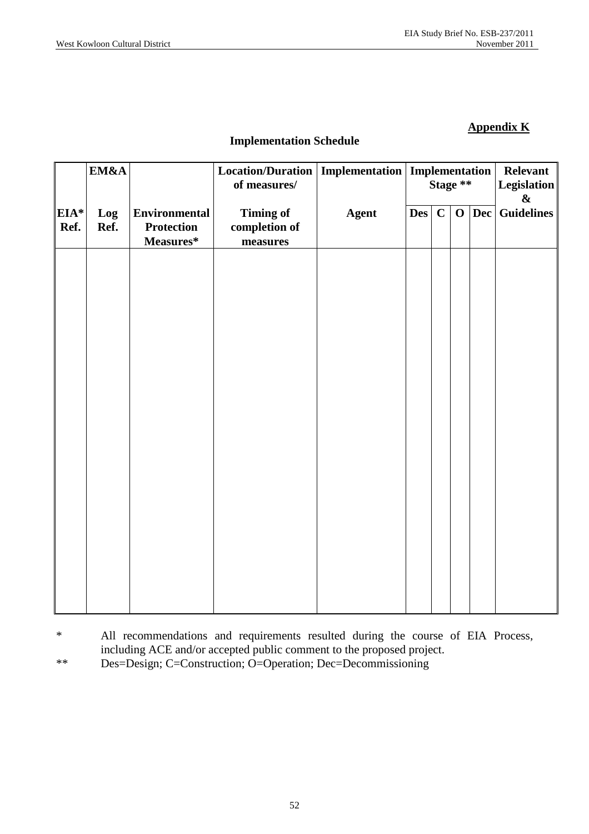## **Appendix K**

## **Implementation Schedule**

|                | EM&A        |                                                          | Location/Duration<br>of measures/             |              | <b>Implementation   Implementation</b><br>Stage ** |              | Relevant<br><b>Legislation</b><br>$\pmb{\&}$ |                     |                   |
|----------------|-------------|----------------------------------------------------------|-----------------------------------------------|--------------|----------------------------------------------------|--------------|----------------------------------------------|---------------------|-------------------|
| $EIA*$<br>Ref. | Log<br>Ref. | <b>Environmental</b><br><b>Protection</b><br>$Measures*$ | <b>Timing of</b><br>completion of<br>measures | <b>Agent</b> | $\bf{Des}$                                         | $\mathbf{C}$ | $\mathbf 0$                                  | $\vert$ Dec $\vert$ | <b>Guidelines</b> |
|                |             |                                                          |                                               |              |                                                    |              |                                              |                     |                   |
|                |             |                                                          |                                               |              |                                                    |              |                                              |                     |                   |
|                |             |                                                          |                                               |              |                                                    |              |                                              |                     |                   |
|                |             |                                                          |                                               |              |                                                    |              |                                              |                     |                   |
|                |             |                                                          |                                               |              |                                                    |              |                                              |                     |                   |
|                |             |                                                          |                                               |              |                                                    |              |                                              |                     |                   |
|                |             |                                                          |                                               |              |                                                    |              |                                              |                     |                   |
|                |             |                                                          |                                               |              |                                                    |              |                                              |                     |                   |
|                |             |                                                          |                                               |              |                                                    |              |                                              |                     |                   |

\* All recommendations and requirements resulted during the course of EIA Process, including ACE and/or accepted public comment to the proposed project.

\*\* Des=Design; C=Construction; O=Operation; Dec=Decommissioning